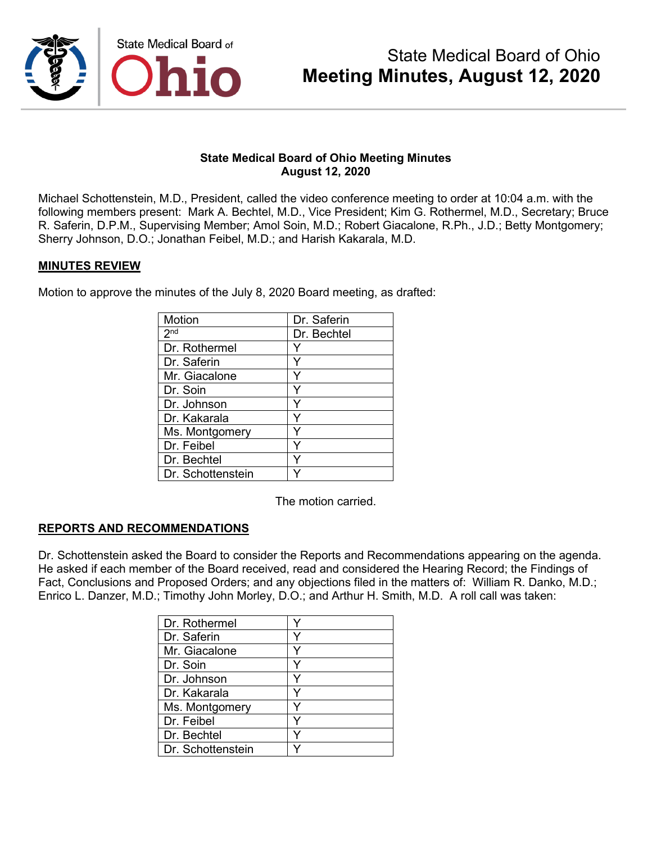

Michael Schottenstein, M.D., President, called the video conference meeting to order at 10:04 a.m. with the following members present: Mark A. Bechtel, M.D., Vice President; Kim G. Rothermel, M.D., Secretary; Bruce R. Saferin, D.P.M., Supervising Member; Amol Soin, M.D.; Robert Giacalone, R.Ph., J.D.; Betty Montgomery; Sherry Johnson, D.O.; Jonathan Feibel, M.D.; and Harish Kakarala, M.D.

#### **MINUTES REVIEW**

Motion to approve the minutes of the July 8, 2020 Board meeting, as drafted:

| <b>Motion</b>     | Dr. Saferin |
|-------------------|-------------|
| 2 <sup>nd</sup>   | Dr. Bechtel |
| Dr. Rothermel     |             |
| Dr. Saferin       |             |
| Mr. Giacalone     |             |
| Dr. Soin          |             |
| Dr. Johnson       |             |
| Dr. Kakarala      |             |
| Ms. Montgomery    |             |
| Dr. Feibel        | Y           |
| Dr. Bechtel       | Y           |
| Dr. Schottenstein |             |

The motion carried.

#### **REPORTS AND RECOMMENDATIONS**

Dr. Schottenstein asked the Board to consider the Reports and Recommendations appearing on the agenda. He asked if each member of the Board received, read and considered the Hearing Record; the Findings of Fact, Conclusions and Proposed Orders; and any objections filed in the matters of: William R. Danko, M.D.; Enrico L. Danzer, M.D.; Timothy John Morley, D.O.; and Arthur H. Smith, M.D. A roll call was taken:

| Dr. Rothermel     |  |
|-------------------|--|
| Dr. Saferin       |  |
| Mr. Giacalone     |  |
| Dr. Soin          |  |
| Dr. Johnson       |  |
| Dr. Kakarala      |  |
| Ms. Montgomery    |  |
| Dr. Feibel        |  |
| Dr. Bechtel       |  |
| Dr. Schottenstein |  |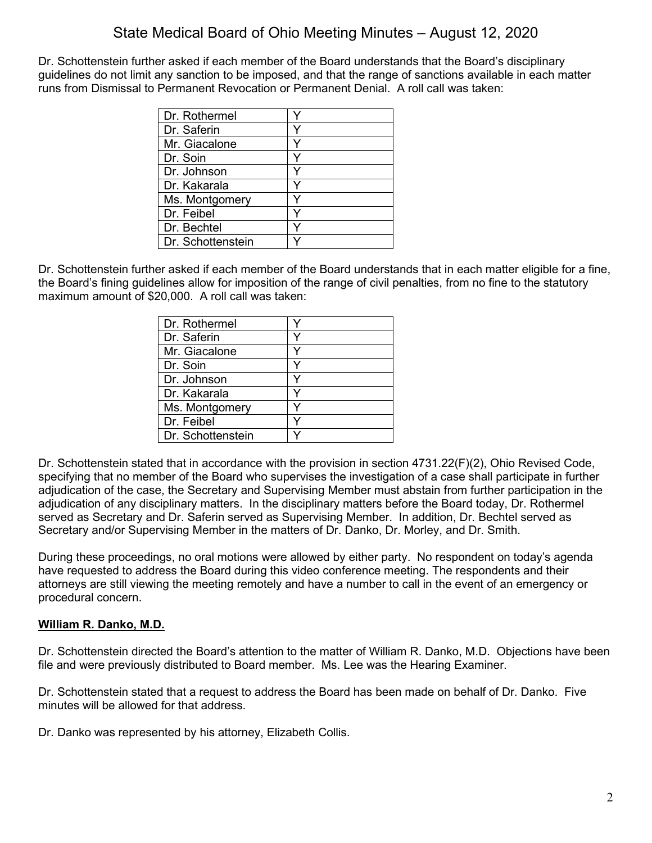Dr. Schottenstein further asked if each member of the Board understands that the Board's disciplinary guidelines do not limit any sanction to be imposed, and that the range of sanctions available in each matter runs from Dismissal to Permanent Revocation or Permanent Denial. A roll call was taken:

| Dr. Rothermel     |  |
|-------------------|--|
| Dr. Saferin       |  |
| Mr. Giacalone     |  |
| Dr. Soin          |  |
| Dr. Johnson       |  |
| Dr. Kakarala      |  |
| Ms. Montgomery    |  |
| Dr. Feibel        |  |
| Dr. Bechtel       |  |
| Dr. Schottenstein |  |

Dr. Schottenstein further asked if each member of the Board understands that in each matter eligible for a fine, the Board's fining guidelines allow for imposition of the range of civil penalties, from no fine to the statutory maximum amount of \$20,000. A roll call was taken:

| Dr. Rothermel     |  |
|-------------------|--|
| Dr. Saferin       |  |
| Mr. Giacalone     |  |
| Dr. Soin          |  |
| Dr. Johnson       |  |
| Dr. Kakarala      |  |
| Ms. Montgomery    |  |
| Dr. Feibel        |  |
| Dr. Schottenstein |  |

Dr. Schottenstein stated that in accordance with the provision in section 4731.22(F)(2), Ohio Revised Code, specifying that no member of the Board who supervises the investigation of a case shall participate in further adjudication of the case, the Secretary and Supervising Member must abstain from further participation in the adjudication of any disciplinary matters. In the disciplinary matters before the Board today, Dr. Rothermel served as Secretary and Dr. Saferin served as Supervising Member. In addition, Dr. Bechtel served as Secretary and/or Supervising Member in the matters of Dr. Danko, Dr. Morley, and Dr. Smith.

During these proceedings, no oral motions were allowed by either party. No respondent on today's agenda have requested to address the Board during this video conference meeting. The respondents and their attorneys are still viewing the meeting remotely and have a number to call in the event of an emergency or procedural concern.

### **William R. Danko, M.D.**

Dr. Schottenstein directed the Board's attention to the matter of William R. Danko, M.D. Objections have been file and were previously distributed to Board member. Ms. Lee was the Hearing Examiner.

Dr. Schottenstein stated that a request to address the Board has been made on behalf of Dr. Danko. Five minutes will be allowed for that address.

Dr. Danko was represented by his attorney, Elizabeth Collis.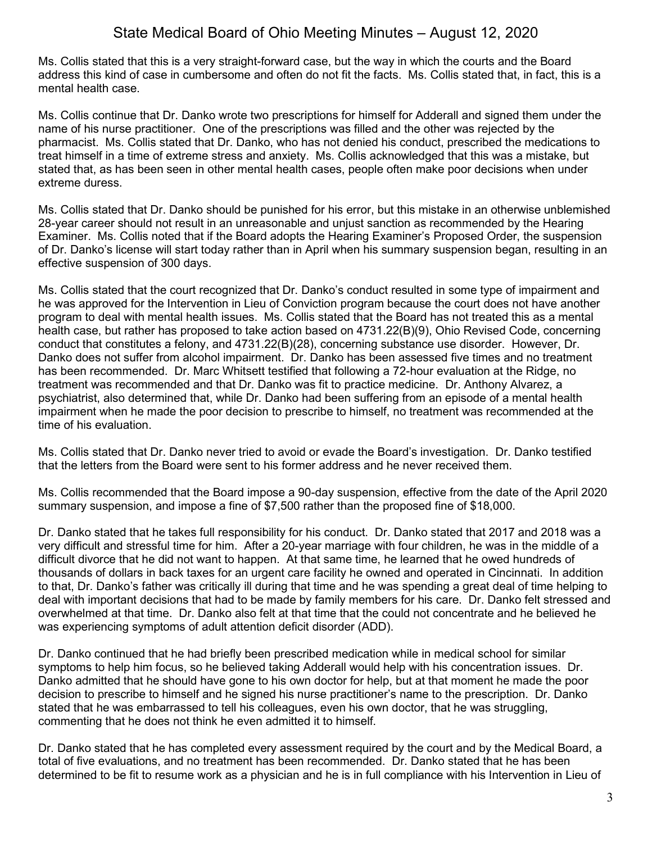Ms. Collis stated that this is a very straight-forward case, but the way in which the courts and the Board address this kind of case in cumbersome and often do not fit the facts. Ms. Collis stated that, in fact, this is a mental health case.

Ms. Collis continue that Dr. Danko wrote two prescriptions for himself for Adderall and signed them under the name of his nurse practitioner. One of the prescriptions was filled and the other was rejected by the pharmacist. Ms. Collis stated that Dr. Danko, who has not denied his conduct, prescribed the medications to treat himself in a time of extreme stress and anxiety. Ms. Collis acknowledged that this was a mistake, but stated that, as has been seen in other mental health cases, people often make poor decisions when under extreme duress.

Ms. Collis stated that Dr. Danko should be punished for his error, but this mistake in an otherwise unblemished 28-year career should not result in an unreasonable and unjust sanction as recommended by the Hearing Examiner. Ms. Collis noted that if the Board adopts the Hearing Examiner's Proposed Order, the suspension of Dr. Danko's license will start today rather than in April when his summary suspension began, resulting in an effective suspension of 300 days.

Ms. Collis stated that the court recognized that Dr. Danko's conduct resulted in some type of impairment and he was approved for the Intervention in Lieu of Conviction program because the court does not have another program to deal with mental health issues. Ms. Collis stated that the Board has not treated this as a mental health case, but rather has proposed to take action based on 4731.22(B)(9), Ohio Revised Code, concerning conduct that constitutes a felony, and 4731.22(B)(28), concerning substance use disorder. However, Dr. Danko does not suffer from alcohol impairment. Dr. Danko has been assessed five times and no treatment has been recommended. Dr. Marc Whitsett testified that following a 72-hour evaluation at the Ridge, no treatment was recommended and that Dr. Danko was fit to practice medicine. Dr. Anthony Alvarez, a psychiatrist, also determined that, while Dr. Danko had been suffering from an episode of a mental health impairment when he made the poor decision to prescribe to himself, no treatment was recommended at the time of his evaluation.

Ms. Collis stated that Dr. Danko never tried to avoid or evade the Board's investigation. Dr. Danko testified that the letters from the Board were sent to his former address and he never received them.

Ms. Collis recommended that the Board impose a 90-day suspension, effective from the date of the April 2020 summary suspension, and impose a fine of \$7,500 rather than the proposed fine of \$18,000.

Dr. Danko stated that he takes full responsibility for his conduct. Dr. Danko stated that 2017 and 2018 was a very difficult and stressful time for him. After a 20-year marriage with four children, he was in the middle of a difficult divorce that he did not want to happen. At that same time, he learned that he owed hundreds of thousands of dollars in back taxes for an urgent care facility he owned and operated in Cincinnati. In addition to that, Dr. Danko's father was critically ill during that time and he was spending a great deal of time helping to deal with important decisions that had to be made by family members for his care. Dr. Danko felt stressed and overwhelmed at that time. Dr. Danko also felt at that time that the could not concentrate and he believed he was experiencing symptoms of adult attention deficit disorder (ADD).

Dr. Danko continued that he had briefly been prescribed medication while in medical school for similar symptoms to help him focus, so he believed taking Adderall would help with his concentration issues. Dr. Danko admitted that he should have gone to his own doctor for help, but at that moment he made the poor decision to prescribe to himself and he signed his nurse practitioner's name to the prescription. Dr. Danko stated that he was embarrassed to tell his colleagues, even his own doctor, that he was struggling, commenting that he does not think he even admitted it to himself.

Dr. Danko stated that he has completed every assessment required by the court and by the Medical Board, a total of five evaluations, and no treatment has been recommended. Dr. Danko stated that he has been determined to be fit to resume work as a physician and he is in full compliance with his Intervention in Lieu of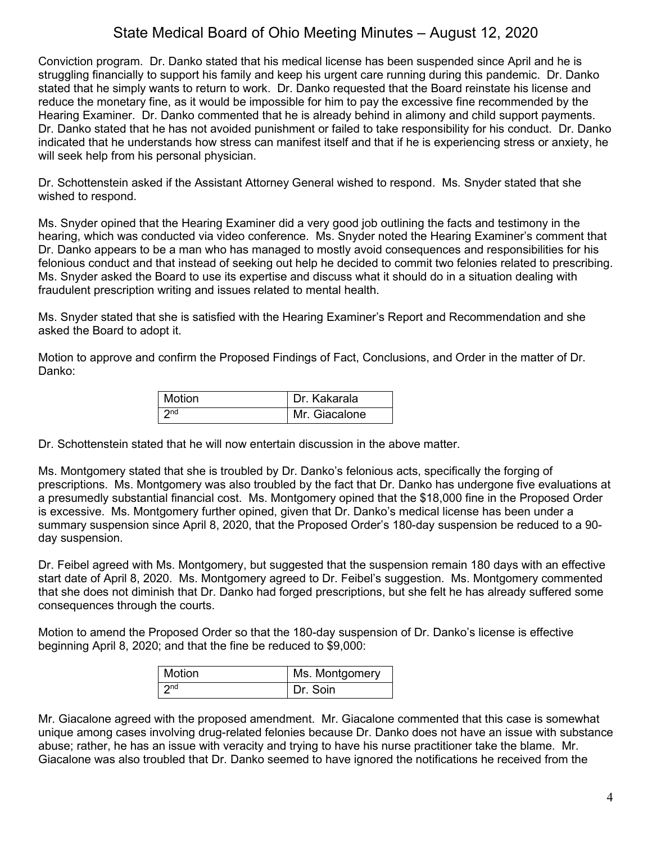Conviction program. Dr. Danko stated that his medical license has been suspended since April and he is struggling financially to support his family and keep his urgent care running during this pandemic. Dr. Danko stated that he simply wants to return to work. Dr. Danko requested that the Board reinstate his license and reduce the monetary fine, as it would be impossible for him to pay the excessive fine recommended by the Hearing Examiner. Dr. Danko commented that he is already behind in alimony and child support payments. Dr. Danko stated that he has not avoided punishment or failed to take responsibility for his conduct. Dr. Danko indicated that he understands how stress can manifest itself and that if he is experiencing stress or anxiety, he will seek help from his personal physician.

Dr. Schottenstein asked if the Assistant Attorney General wished to respond. Ms. Snyder stated that she wished to respond.

Ms. Snyder opined that the Hearing Examiner did a very good job outlining the facts and testimony in the hearing, which was conducted via video conference. Ms. Snyder noted the Hearing Examiner's comment that Dr. Danko appears to be a man who has managed to mostly avoid consequences and responsibilities for his felonious conduct and that instead of seeking out help he decided to commit two felonies related to prescribing. Ms. Snyder asked the Board to use its expertise and discuss what it should do in a situation dealing with fraudulent prescription writing and issues related to mental health.

Ms. Snyder stated that she is satisfied with the Hearing Examiner's Report and Recommendation and she asked the Board to adopt it.

Motion to approve and confirm the Proposed Findings of Fact, Conclusions, and Order in the matter of Dr. Danko:

| Motion          | Dr. Kakarala  |
|-----------------|---------------|
| 2 <sub>nd</sub> | Mr. Giacalone |

Dr. Schottenstein stated that he will now entertain discussion in the above matter.

Ms. Montgomery stated that she is troubled by Dr. Danko's felonious acts, specifically the forging of prescriptions. Ms. Montgomery was also troubled by the fact that Dr. Danko has undergone five evaluations at a presumedly substantial financial cost. Ms. Montgomery opined that the \$18,000 fine in the Proposed Order is excessive. Ms. Montgomery further opined, given that Dr. Danko's medical license has been under a summary suspension since April 8, 2020, that the Proposed Order's 180-day suspension be reduced to a 90 day suspension.

Dr. Feibel agreed with Ms. Montgomery, but suggested that the suspension remain 180 days with an effective start date of April 8, 2020. Ms. Montgomery agreed to Dr. Feibel's suggestion. Ms. Montgomery commented that she does not diminish that Dr. Danko had forged prescriptions, but she felt he has already suffered some consequences through the courts.

Motion to amend the Proposed Order so that the 180-day suspension of Dr. Danko's license is effective beginning April 8, 2020; and that the fine be reduced to \$9,000:

| <b>Motion</b>   | Ms. Montgomery |
|-----------------|----------------|
| 2 <sub>nd</sub> | Dr. Soin       |

Mr. Giacalone agreed with the proposed amendment. Mr. Giacalone commented that this case is somewhat unique among cases involving drug-related felonies because Dr. Danko does not have an issue with substance abuse; rather, he has an issue with veracity and trying to have his nurse practitioner take the blame. Mr. Giacalone was also troubled that Dr. Danko seemed to have ignored the notifications he received from the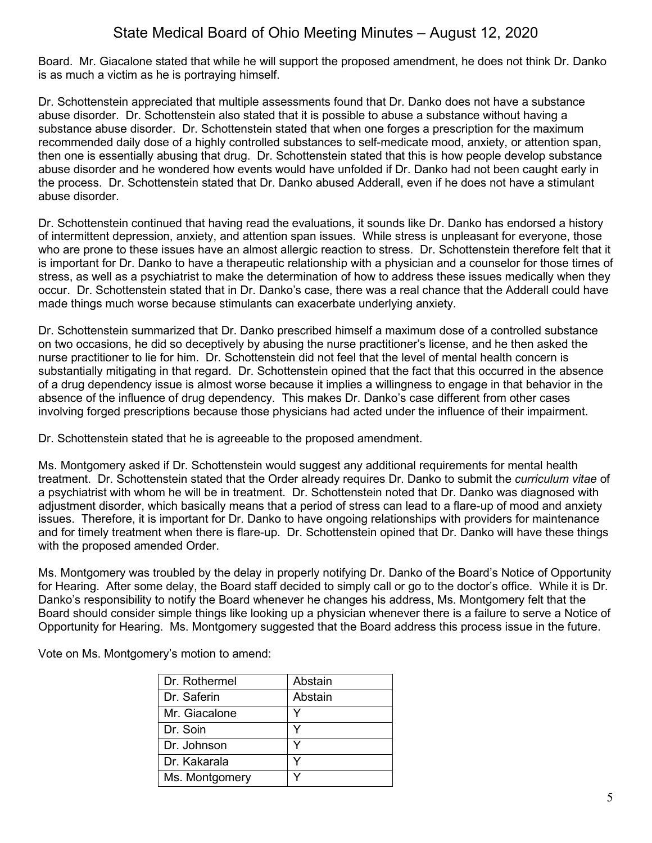Board. Mr. Giacalone stated that while he will support the proposed amendment, he does not think Dr. Danko is as much a victim as he is portraying himself.

Dr. Schottenstein appreciated that multiple assessments found that Dr. Danko does not have a substance abuse disorder. Dr. Schottenstein also stated that it is possible to abuse a substance without having a substance abuse disorder. Dr. Schottenstein stated that when one forges a prescription for the maximum recommended daily dose of a highly controlled substances to self-medicate mood, anxiety, or attention span, then one is essentially abusing that drug. Dr. Schottenstein stated that this is how people develop substance abuse disorder and he wondered how events would have unfolded if Dr. Danko had not been caught early in the process. Dr. Schottenstein stated that Dr. Danko abused Adderall, even if he does not have a stimulant abuse disorder.

Dr. Schottenstein continued that having read the evaluations, it sounds like Dr. Danko has endorsed a history of intermittent depression, anxiety, and attention span issues. While stress is unpleasant for everyone, those who are prone to these issues have an almost allergic reaction to stress. Dr. Schottenstein therefore felt that it is important for Dr. Danko to have a therapeutic relationship with a physician and a counselor for those times of stress, as well as a psychiatrist to make the determination of how to address these issues medically when they occur. Dr. Schottenstein stated that in Dr. Danko's case, there was a real chance that the Adderall could have made things much worse because stimulants can exacerbate underlying anxiety.

Dr. Schottenstein summarized that Dr. Danko prescribed himself a maximum dose of a controlled substance on two occasions, he did so deceptively by abusing the nurse practitioner's license, and he then asked the nurse practitioner to lie for him. Dr. Schottenstein did not feel that the level of mental health concern is substantially mitigating in that regard. Dr. Schottenstein opined that the fact that this occurred in the absence of a drug dependency issue is almost worse because it implies a willingness to engage in that behavior in the absence of the influence of drug dependency. This makes Dr. Danko's case different from other cases involving forged prescriptions because those physicians had acted under the influence of their impairment.

Dr. Schottenstein stated that he is agreeable to the proposed amendment.

Ms. Montgomery asked if Dr. Schottenstein would suggest any additional requirements for mental health treatment. Dr. Schottenstein stated that the Order already requires Dr. Danko to submit the *curriculum vitae* of a psychiatrist with whom he will be in treatment. Dr. Schottenstein noted that Dr. Danko was diagnosed with adjustment disorder, which basically means that a period of stress can lead to a flare-up of mood and anxiety issues. Therefore, it is important for Dr. Danko to have ongoing relationships with providers for maintenance and for timely treatment when there is flare-up. Dr. Schottenstein opined that Dr. Danko will have these things with the proposed amended Order.

Ms. Montgomery was troubled by the delay in properly notifying Dr. Danko of the Board's Notice of Opportunity for Hearing. After some delay, the Board staff decided to simply call or go to the doctor's office. While it is Dr. Danko's responsibility to notify the Board whenever he changes his address, Ms. Montgomery felt that the Board should consider simple things like looking up a physician whenever there is a failure to serve a Notice of Opportunity for Hearing. Ms. Montgomery suggested that the Board address this process issue in the future.

Vote on Ms. Montgomery's motion to amend:

| Dr. Rothermel  | Abstain |
|----------------|---------|
| Dr. Saferin    | Abstain |
| Mr. Giacalone  |         |
| Dr. Soin       | v       |
| Dr. Johnson    |         |
| Dr. Kakarala   |         |
| Ms. Montgomery |         |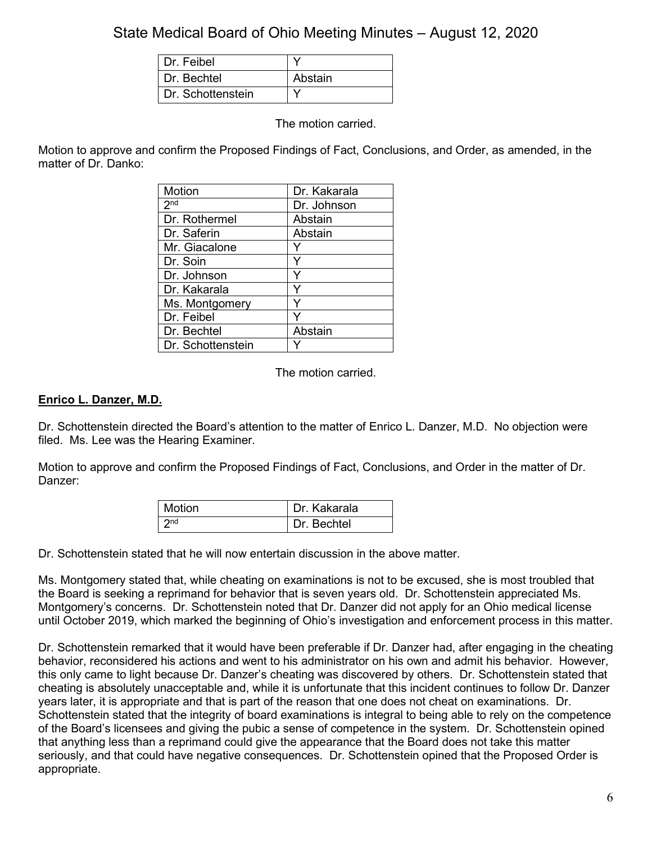| Dr. Feibel        |         |
|-------------------|---------|
| Dr. Bechtel       | Abstain |
| Dr. Schottenstein |         |

The motion carried.

Motion to approve and confirm the Proposed Findings of Fact, Conclusions, and Order, as amended, in the matter of Dr. Danko:

| Motion            | Dr. Kakarala |
|-------------------|--------------|
| 2 <sup>nd</sup>   | Dr. Johnson  |
| Dr. Rothermel     | Abstain      |
| Dr. Saferin       | Abstain      |
| Mr. Giacalone     |              |
| Dr. Soin          |              |
| Dr. Johnson       | Y            |
| Dr. Kakarala      | Y            |
| Ms. Montgomery    | Y            |
| Dr. Feibel        |              |
| Dr. Bechtel       | Abstain      |
| Dr. Schottenstein |              |

The motion carried.

#### **Enrico L. Danzer, M.D.**

Dr. Schottenstein directed the Board's attention to the matter of Enrico L. Danzer, M.D. No objection were filed. Ms. Lee was the Hearing Examiner.

Motion to approve and confirm the Proposed Findings of Fact, Conclusions, and Order in the matter of Dr. Danzer:

| Motion          | Dr. Kakarala |
|-----------------|--------------|
| 2n <sub>d</sub> | Dr. Bechtel  |

Dr. Schottenstein stated that he will now entertain discussion in the above matter.

Ms. Montgomery stated that, while cheating on examinations is not to be excused, she is most troubled that the Board is seeking a reprimand for behavior that is seven years old. Dr. Schottenstein appreciated Ms. Montgomery's concerns. Dr. Schottenstein noted that Dr. Danzer did not apply for an Ohio medical license until October 2019, which marked the beginning of Ohio's investigation and enforcement process in this matter.

Dr. Schottenstein remarked that it would have been preferable if Dr. Danzer had, after engaging in the cheating behavior, reconsidered his actions and went to his administrator on his own and admit his behavior. However, this only came to light because Dr. Danzer's cheating was discovered by others. Dr. Schottenstein stated that cheating is absolutely unacceptable and, while it is unfortunate that this incident continues to follow Dr. Danzer years later, it is appropriate and that is part of the reason that one does not cheat on examinations. Dr. Schottenstein stated that the integrity of board examinations is integral to being able to rely on the competence of the Board's licensees and giving the pubic a sense of competence in the system. Dr. Schottenstein opined that anything less than a reprimand could give the appearance that the Board does not take this matter seriously, and that could have negative consequences. Dr. Schottenstein opined that the Proposed Order is appropriate.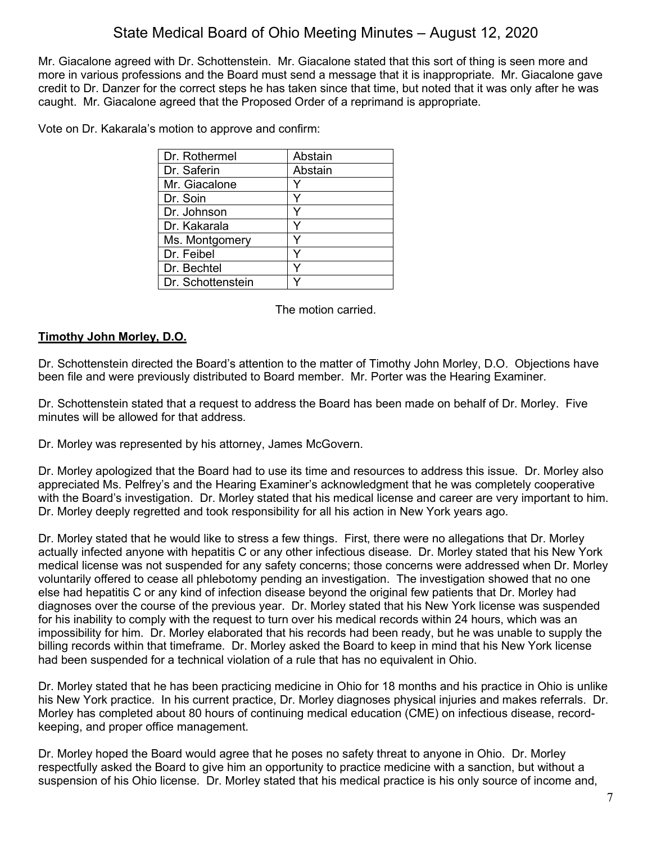Mr. Giacalone agreed with Dr. Schottenstein. Mr. Giacalone stated that this sort of thing is seen more and more in various professions and the Board must send a message that it is inappropriate. Mr. Giacalone gave credit to Dr. Danzer for the correct steps he has taken since that time, but noted that it was only after he was caught. Mr. Giacalone agreed that the Proposed Order of a reprimand is appropriate.

Vote on Dr. Kakarala's motion to approve and confirm:

| Dr. Rothermel     | Abstain |
|-------------------|---------|
| Dr. Saferin       | Abstain |
| Mr. Giacalone     |         |
| Dr. Soin          |         |
| Dr. Johnson       |         |
| Dr. Kakarala      |         |
| Ms. Montgomery    |         |
| Dr. Feibel        |         |
| Dr. Bechtel       |         |
| Dr. Schottenstein |         |
|                   |         |

The motion carried.

### **Timothy John Morley, D.O.**

Dr. Schottenstein directed the Board's attention to the matter of Timothy John Morley, D.O. Objections have been file and were previously distributed to Board member. Mr. Porter was the Hearing Examiner.

Dr. Schottenstein stated that a request to address the Board has been made on behalf of Dr. Morley. Five minutes will be allowed for that address.

Dr. Morley was represented by his attorney, James McGovern.

Dr. Morley apologized that the Board had to use its time and resources to address this issue. Dr. Morley also appreciated Ms. Pelfrey's and the Hearing Examiner's acknowledgment that he was completely cooperative with the Board's investigation. Dr. Morley stated that his medical license and career are very important to him. Dr. Morley deeply regretted and took responsibility for all his action in New York years ago.

Dr. Morley stated that he would like to stress a few things. First, there were no allegations that Dr. Morley actually infected anyone with hepatitis C or any other infectious disease. Dr. Morley stated that his New York medical license was not suspended for any safety concerns; those concerns were addressed when Dr. Morley voluntarily offered to cease all phlebotomy pending an investigation. The investigation showed that no one else had hepatitis C or any kind of infection disease beyond the original few patients that Dr. Morley had diagnoses over the course of the previous year. Dr. Morley stated that his New York license was suspended for his inability to comply with the request to turn over his medical records within 24 hours, which was an impossibility for him. Dr. Morley elaborated that his records had been ready, but he was unable to supply the billing records within that timeframe. Dr. Morley asked the Board to keep in mind that his New York license had been suspended for a technical violation of a rule that has no equivalent in Ohio.

Dr. Morley stated that he has been practicing medicine in Ohio for 18 months and his practice in Ohio is unlike his New York practice. In his current practice, Dr. Morley diagnoses physical injuries and makes referrals. Dr. Morley has completed about 80 hours of continuing medical education (CME) on infectious disease, recordkeeping, and proper office management.

Dr. Morley hoped the Board would agree that he poses no safety threat to anyone in Ohio. Dr. Morley respectfully asked the Board to give him an opportunity to practice medicine with a sanction, but without a suspension of his Ohio license. Dr. Morley stated that his medical practice is his only source of income and,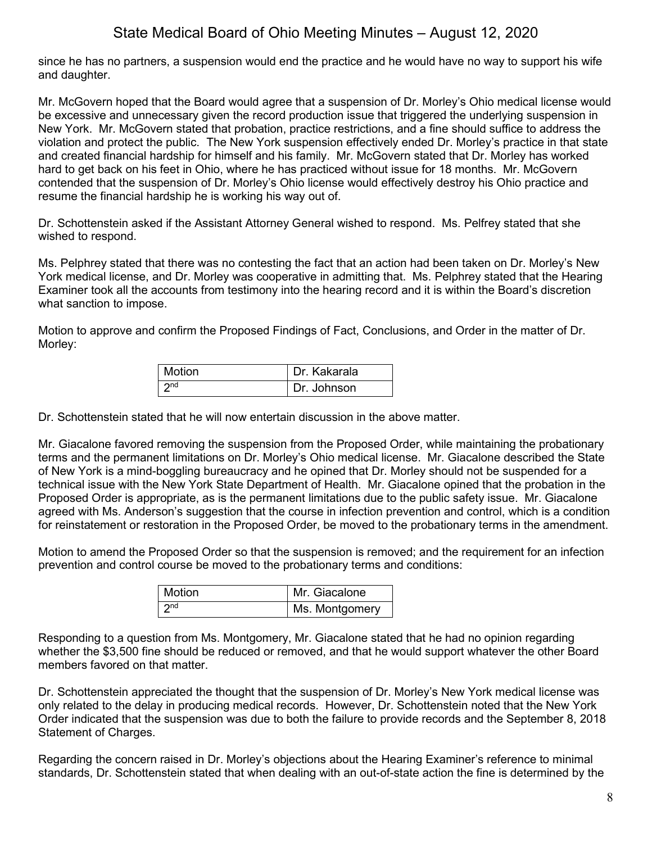since he has no partners, a suspension would end the practice and he would have no way to support his wife and daughter.

Mr. McGovern hoped that the Board would agree that a suspension of Dr. Morley's Ohio medical license would be excessive and unnecessary given the record production issue that triggered the underlying suspension in New York. Mr. McGovern stated that probation, practice restrictions, and a fine should suffice to address the violation and protect the public. The New York suspension effectively ended Dr. Morley's practice in that state and created financial hardship for himself and his family. Mr. McGovern stated that Dr. Morley has worked hard to get back on his feet in Ohio, where he has practiced without issue for 18 months. Mr. McGovern contended that the suspension of Dr. Morley's Ohio license would effectively destroy his Ohio practice and resume the financial hardship he is working his way out of.

Dr. Schottenstein asked if the Assistant Attorney General wished to respond. Ms. Pelfrey stated that she wished to respond.

Ms. Pelphrey stated that there was no contesting the fact that an action had been taken on Dr. Morley's New York medical license, and Dr. Morley was cooperative in admitting that. Ms. Pelphrey stated that the Hearing Examiner took all the accounts from testimony into the hearing record and it is within the Board's discretion what sanction to impose.

Motion to approve and confirm the Proposed Findings of Fact, Conclusions, and Order in the matter of Dr. Morley:

| <b>Motion</b>   | Dr. Kakarala |
|-----------------|--------------|
| 2 <sub>nd</sub> | Dr. Johnson  |

Dr. Schottenstein stated that he will now entertain discussion in the above matter.

Mr. Giacalone favored removing the suspension from the Proposed Order, while maintaining the probationary terms and the permanent limitations on Dr. Morley's Ohio medical license. Mr. Giacalone described the State of New York is a mind-boggling bureaucracy and he opined that Dr. Morley should not be suspended for a technical issue with the New York State Department of Health. Mr. Giacalone opined that the probation in the Proposed Order is appropriate, as is the permanent limitations due to the public safety issue. Mr. Giacalone agreed with Ms. Anderson's suggestion that the course in infection prevention and control, which is a condition for reinstatement or restoration in the Proposed Order, be moved to the probationary terms in the amendment.

Motion to amend the Proposed Order so that the suspension is removed; and the requirement for an infection prevention and control course be moved to the probationary terms and conditions:

| Motion          | Mr. Giacalone  |
|-----------------|----------------|
| 2 <sub>nd</sub> | Ms. Montgomery |

Responding to a question from Ms. Montgomery, Mr. Giacalone stated that he had no opinion regarding whether the \$3,500 fine should be reduced or removed, and that he would support whatever the other Board members favored on that matter.

Dr. Schottenstein appreciated the thought that the suspension of Dr. Morley's New York medical license was only related to the delay in producing medical records. However, Dr. Schottenstein noted that the New York Order indicated that the suspension was due to both the failure to provide records and the September 8, 2018 Statement of Charges.

Regarding the concern raised in Dr. Morley's objections about the Hearing Examiner's reference to minimal standards, Dr. Schottenstein stated that when dealing with an out-of-state action the fine is determined by the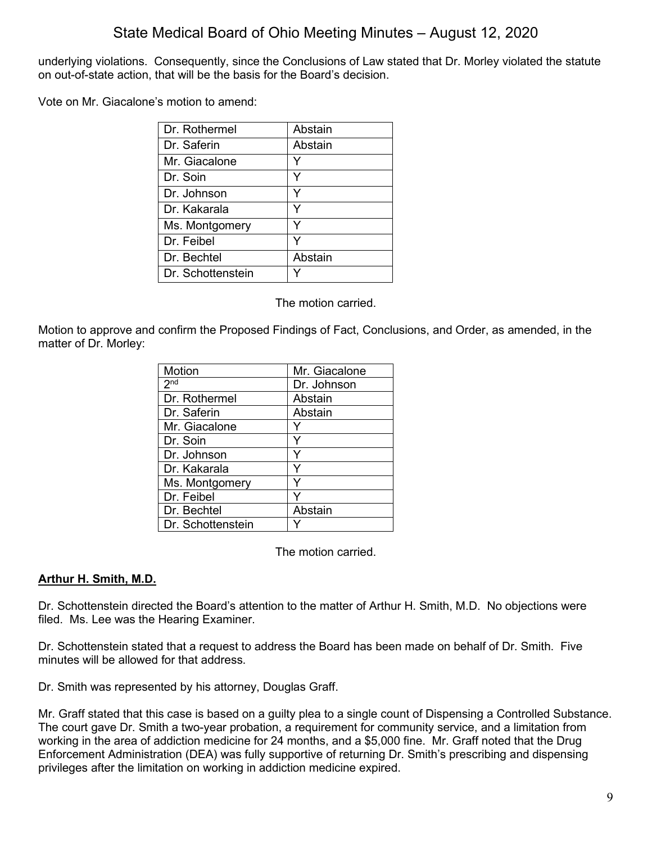underlying violations. Consequently, since the Conclusions of Law stated that Dr. Morley violated the statute on out-of-state action, that will be the basis for the Board's decision.

Vote on Mr. Giacalone's motion to amend:

| Dr. Rothermel     | Abstain |
|-------------------|---------|
| Dr. Saferin       | Abstain |
| Mr. Giacalone     |         |
| Dr. Soin          |         |
| Dr. Johnson       | Y       |
| Dr. Kakarala      | Y       |
| Ms. Montgomery    |         |
| Dr. Feibel        | Y       |
| Dr. Bechtel       | Abstain |
| Dr. Schottenstein |         |

The motion carried.

Motion to approve and confirm the Proposed Findings of Fact, Conclusions, and Order, as amended, in the matter of Dr. Morley:

| Motion            | Mr. Giacalone |
|-------------------|---------------|
| 2 <sup>nd</sup>   | Dr. Johnson   |
| Dr. Rothermel     | Abstain       |
| Dr. Saferin       | Abstain       |
| Mr. Giacalone     |               |
| Dr. Soin          | Υ             |
| Dr. Johnson       |               |
| Dr. Kakarala      | Y             |
| Ms. Montgomery    |               |
| Dr. Feibel        |               |
| Dr. Bechtel       | Abstain       |
| Dr. Schottenstein |               |

The motion carried.

### **Arthur H. Smith, M.D.**

Dr. Schottenstein directed the Board's attention to the matter of Arthur H. Smith, M.D. No objections were filed. Ms. Lee was the Hearing Examiner.

Dr. Schottenstein stated that a request to address the Board has been made on behalf of Dr. Smith. Five minutes will be allowed for that address.

Dr. Smith was represented by his attorney, Douglas Graff.

Mr. Graff stated that this case is based on a guilty plea to a single count of Dispensing a Controlled Substance. The court gave Dr. Smith a two-year probation, a requirement for community service, and a limitation from working in the area of addiction medicine for 24 months, and a \$5,000 fine. Mr. Graff noted that the Drug Enforcement Administration (DEA) was fully supportive of returning Dr. Smith's prescribing and dispensing privileges after the limitation on working in addiction medicine expired.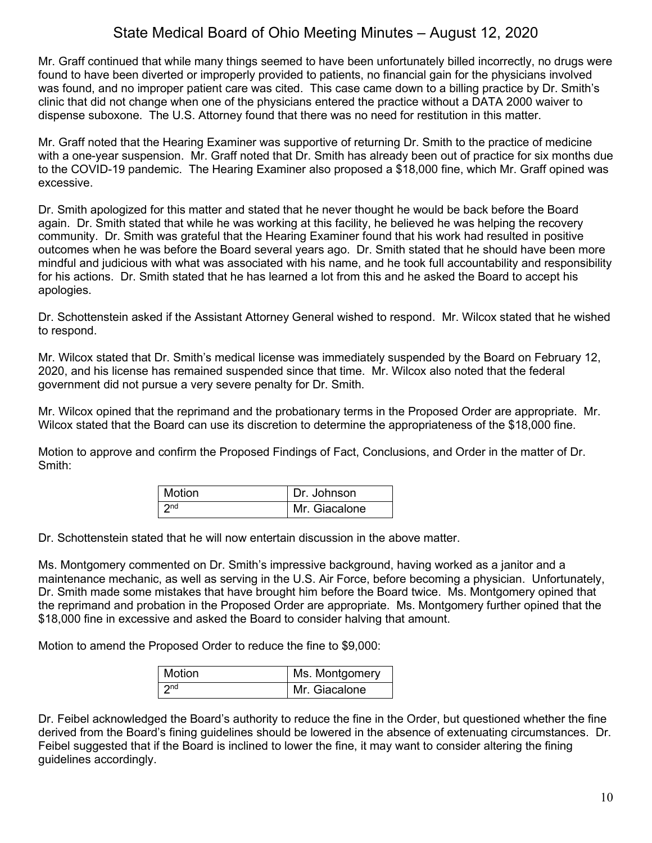Mr. Graff continued that while many things seemed to have been unfortunately billed incorrectly, no drugs were found to have been diverted or improperly provided to patients, no financial gain for the physicians involved was found, and no improper patient care was cited. This case came down to a billing practice by Dr. Smith's clinic that did not change when one of the physicians entered the practice without a DATA 2000 waiver to dispense suboxone. The U.S. Attorney found that there was no need for restitution in this matter.

Mr. Graff noted that the Hearing Examiner was supportive of returning Dr. Smith to the practice of medicine with a one-year suspension. Mr. Graff noted that Dr. Smith has already been out of practice for six months due to the COVID-19 pandemic. The Hearing Examiner also proposed a \$18,000 fine, which Mr. Graff opined was excessive.

Dr. Smith apologized for this matter and stated that he never thought he would be back before the Board again. Dr. Smith stated that while he was working at this facility, he believed he was helping the recovery community. Dr. Smith was grateful that the Hearing Examiner found that his work had resulted in positive outcomes when he was before the Board several years ago. Dr. Smith stated that he should have been more mindful and judicious with what was associated with his name, and he took full accountability and responsibility for his actions. Dr. Smith stated that he has learned a lot from this and he asked the Board to accept his apologies.

Dr. Schottenstein asked if the Assistant Attorney General wished to respond. Mr. Wilcox stated that he wished to respond.

Mr. Wilcox stated that Dr. Smith's medical license was immediately suspended by the Board on February 12, 2020, and his license has remained suspended since that time. Mr. Wilcox also noted that the federal government did not pursue a very severe penalty for Dr. Smith.

Mr. Wilcox opined that the reprimand and the probationary terms in the Proposed Order are appropriate. Mr. Wilcox stated that the Board can use its discretion to determine the appropriateness of the \$18,000 fine.

Motion to approve and confirm the Proposed Findings of Fact, Conclusions, and Order in the matter of Dr. Smith:

| <b>Motion</b> | Dr. Johnson   |
|---------------|---------------|
| ond           | Mr. Giacalone |

Dr. Schottenstein stated that he will now entertain discussion in the above matter.

Ms. Montgomery commented on Dr. Smith's impressive background, having worked as a janitor and a maintenance mechanic, as well as serving in the U.S. Air Force, before becoming a physician. Unfortunately, Dr. Smith made some mistakes that have brought him before the Board twice. Ms. Montgomery opined that the reprimand and probation in the Proposed Order are appropriate. Ms. Montgomery further opined that the \$18,000 fine in excessive and asked the Board to consider halving that amount.

Motion to amend the Proposed Order to reduce the fine to \$9,000:

| <b>Motion</b>   | Ms. Montgomery |
|-----------------|----------------|
| 2 <sub>nd</sub> | Mr. Giacalone  |

Dr. Feibel acknowledged the Board's authority to reduce the fine in the Order, but questioned whether the fine derived from the Board's fining guidelines should be lowered in the absence of extenuating circumstances. Dr. Feibel suggested that if the Board is inclined to lower the fine, it may want to consider altering the fining guidelines accordingly.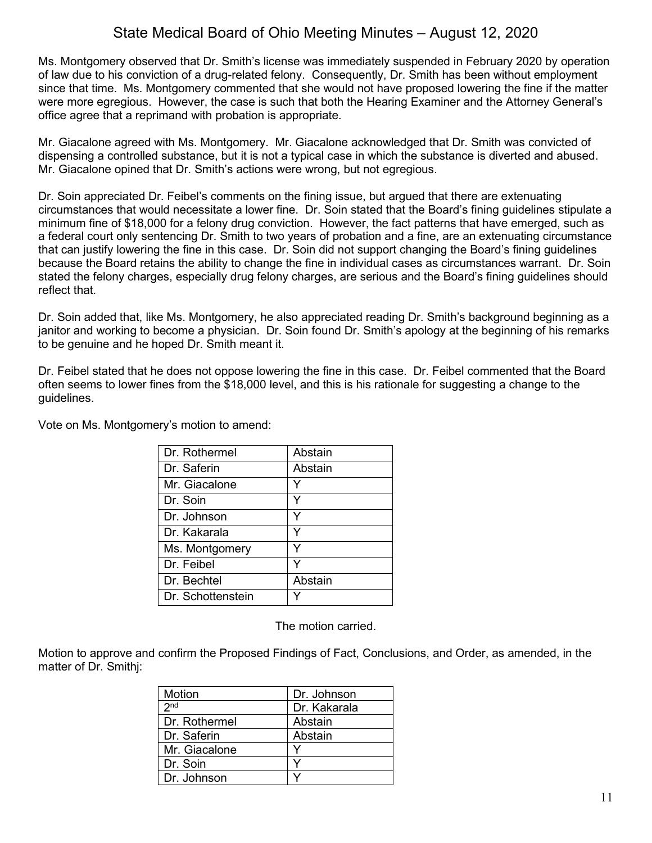Ms. Montgomery observed that Dr. Smith's license was immediately suspended in February 2020 by operation of law due to his conviction of a drug-related felony. Consequently, Dr. Smith has been without employment since that time. Ms. Montgomery commented that she would not have proposed lowering the fine if the matter were more egregious. However, the case is such that both the Hearing Examiner and the Attorney General's office agree that a reprimand with probation is appropriate.

Mr. Giacalone agreed with Ms. Montgomery. Mr. Giacalone acknowledged that Dr. Smith was convicted of dispensing a controlled substance, but it is not a typical case in which the substance is diverted and abused. Mr. Giacalone opined that Dr. Smith's actions were wrong, but not egregious.

Dr. Soin appreciated Dr. Feibel's comments on the fining issue, but argued that there are extenuating circumstances that would necessitate a lower fine. Dr. Soin stated that the Board's fining guidelines stipulate a minimum fine of \$18,000 for a felony drug conviction. However, the fact patterns that have emerged, such as a federal court only sentencing Dr. Smith to two years of probation and a fine, are an extenuating circumstance that can justify lowering the fine in this case. Dr. Soin did not support changing the Board's fining guidelines because the Board retains the ability to change the fine in individual cases as circumstances warrant. Dr. Soin stated the felony charges, especially drug felony charges, are serious and the Board's fining guidelines should reflect that.

Dr. Soin added that, like Ms. Montgomery, he also appreciated reading Dr. Smith's background beginning as a janitor and working to become a physician. Dr. Soin found Dr. Smith's apology at the beginning of his remarks to be genuine and he hoped Dr. Smith meant it.

Dr. Feibel stated that he does not oppose lowering the fine in this case. Dr. Feibel commented that the Board often seems to lower fines from the \$18,000 level, and this is his rationale for suggesting a change to the guidelines.

Vote on Ms. Montgomery's motion to amend:

| Dr. Rothermel     | Abstain |
|-------------------|---------|
| Dr. Saferin       | Abstain |
| Mr. Giacalone     |         |
| Dr. Soin          | Y       |
| Dr. Johnson       | Y       |
| Dr. Kakarala      | v       |
| Ms. Montgomery    |         |
| Dr. Feibel        |         |
| Dr. Bechtel       | Abstain |
| Dr. Schottenstein |         |

The motion carried.

Motion to approve and confirm the Proposed Findings of Fact, Conclusions, and Order, as amended, in the matter of Dr. Smithj:

| Motion          | Dr. Johnson  |
|-----------------|--------------|
| 2 <sub>nd</sub> | Dr. Kakarala |
| l Dr. Rothermel | Abstain      |
| Dr. Saferin     | Abstain      |
| Mr. Giacalone   |              |
| Dr. Soin        |              |
| Dr. Johnson     |              |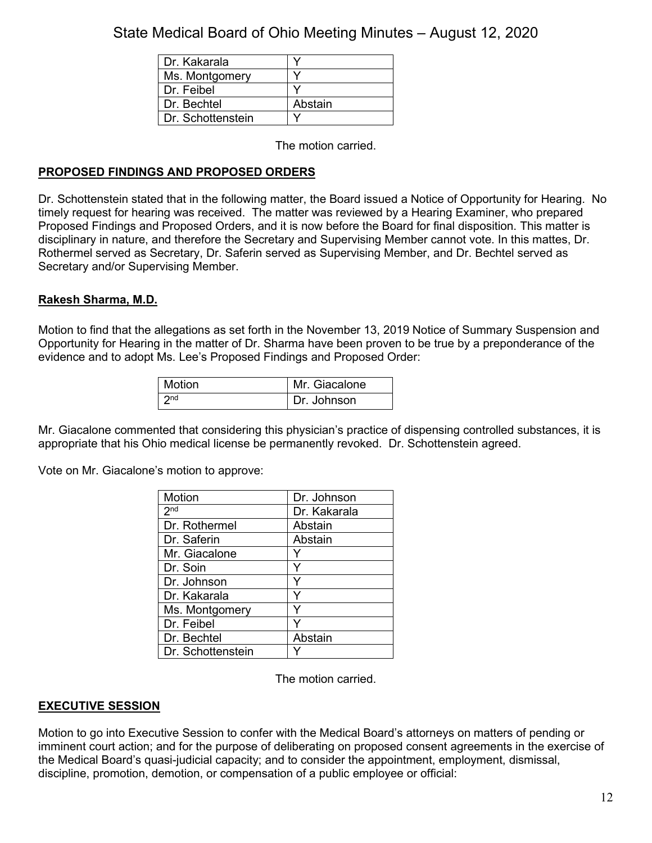| Dr. Kakarala      |         |
|-------------------|---------|
| Ms. Montgomery    |         |
| Dr. Feibel        |         |
| Dr. Bechtel       | Abstain |
| Dr. Schottenstein |         |

The motion carried.

### **PROPOSED FINDINGS AND PROPOSED ORDERS**

Dr. Schottenstein stated that in the following matter, the Board issued a Notice of Opportunity for Hearing. No timely request for hearing was received. The matter was reviewed by a Hearing Examiner, who prepared Proposed Findings and Proposed Orders, and it is now before the Board for final disposition. This matter is disciplinary in nature, and therefore the Secretary and Supervising Member cannot vote. In this mattes, Dr. Rothermel served as Secretary, Dr. Saferin served as Supervising Member, and Dr. Bechtel served as Secretary and/or Supervising Member.

### **Rakesh Sharma, M.D.**

Motion to find that the allegations as set forth in the November 13, 2019 Notice of Summary Suspension and Opportunity for Hearing in the matter of Dr. Sharma have been proven to be true by a preponderance of the evidence and to adopt Ms. Lee's Proposed Findings and Proposed Order:

| Motion          | Mr. Giacalone |
|-----------------|---------------|
| 2n <sub>d</sub> | Dr. Johnson   |

Mr. Giacalone commented that considering this physician's practice of dispensing controlled substances, it is appropriate that his Ohio medical license be permanently revoked. Dr. Schottenstein agreed.

Vote on Mr. Giacalone's motion to approve:

| Motion            | Dr. Johnson  |
|-------------------|--------------|
| 2 <sup>nd</sup>   | Dr. Kakarala |
| Dr. Rothermel     | Abstain      |
| Dr. Saferin       | Abstain      |
| Mr. Giacalone     |              |
| Dr. Soin          |              |
| Dr. Johnson       |              |
| Dr. Kakarala      | Y            |
| Ms. Montgomery    |              |
| Dr. Feibel        |              |
| Dr. Bechtel       | Abstain      |
| Dr. Schottenstein |              |

The motion carried.

#### **EXECUTIVE SESSION**

Motion to go into Executive Session to confer with the Medical Board's attorneys on matters of pending or imminent court action; and for the purpose of deliberating on proposed consent agreements in the exercise of the Medical Board's quasi-judicial capacity; and to consider the appointment, employment, dismissal, discipline, promotion, demotion, or compensation of a public employee or official: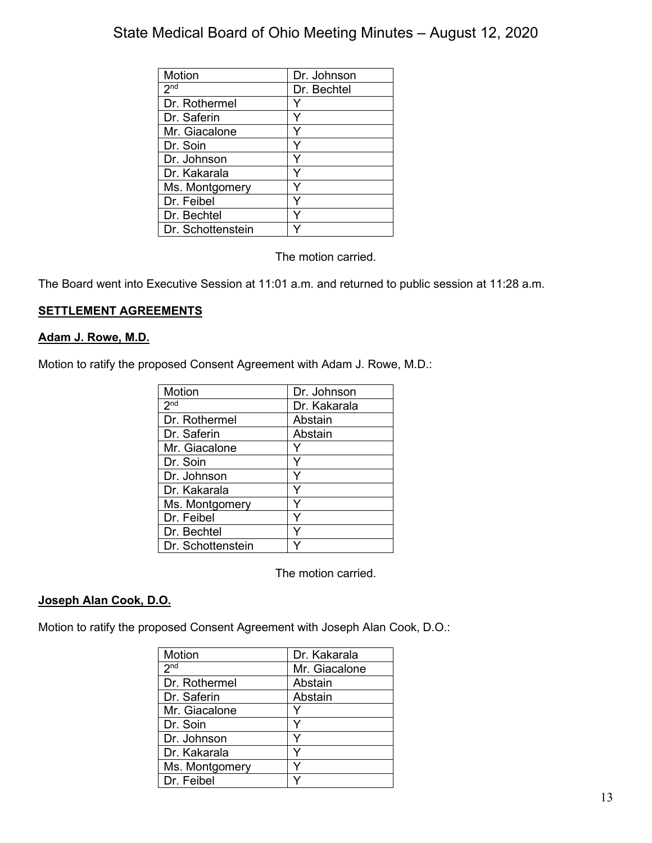| Motion            | Dr. Johnson |
|-------------------|-------------|
| 2 <sub>nd</sub>   | Dr. Bechtel |
| Dr. Rothermel     |             |
| Dr. Saferin       |             |
| Mr. Giacalone     |             |
| Dr. Soin          |             |
| Dr. Johnson       |             |
| Dr. Kakarala      |             |
| Ms. Montgomery    | ٧           |
| Dr. Feibel        | Y           |
| Dr. Bechtel       |             |
| Dr. Schottenstein |             |

The motion carried.

The Board went into Executive Session at 11:01 a.m. and returned to public session at 11:28 a.m.

### **SETTLEMENT AGREEMENTS**

#### **Adam J. Rowe, M.D.**

Motion to ratify the proposed Consent Agreement with Adam J. Rowe, M.D.:

| Motion            | Dr. Johnson  |
|-------------------|--------------|
| 2 <sup>nd</sup>   | Dr. Kakarala |
| Dr. Rothermel     | Abstain      |
| Dr. Saferin       | Abstain      |
| Mr. Giacalone     |              |
| Dr. Soin          | Y            |
| Dr. Johnson       |              |
| Dr. Kakarala      |              |
| Ms. Montgomery    |              |
| Dr. Feibel        | Y            |
| Dr. Bechtel       | Y            |
| Dr. Schottenstein |              |

The motion carried.

#### **Joseph Alan Cook, D.O.**

Motion to ratify the proposed Consent Agreement with Joseph Alan Cook, D.O.:

| Motion          | Dr. Kakarala  |
|-----------------|---------------|
| 2 <sup>nd</sup> | Mr. Giacalone |
| Dr. Rothermel   | Abstain       |
| Dr. Saferin     | Abstain       |
| Mr. Giacalone   |               |
| Dr. Soin        | Y             |
| Dr. Johnson     | Y             |
| Dr. Kakarala    |               |
| Ms. Montgomery  | v             |
| Dr. Feibel      |               |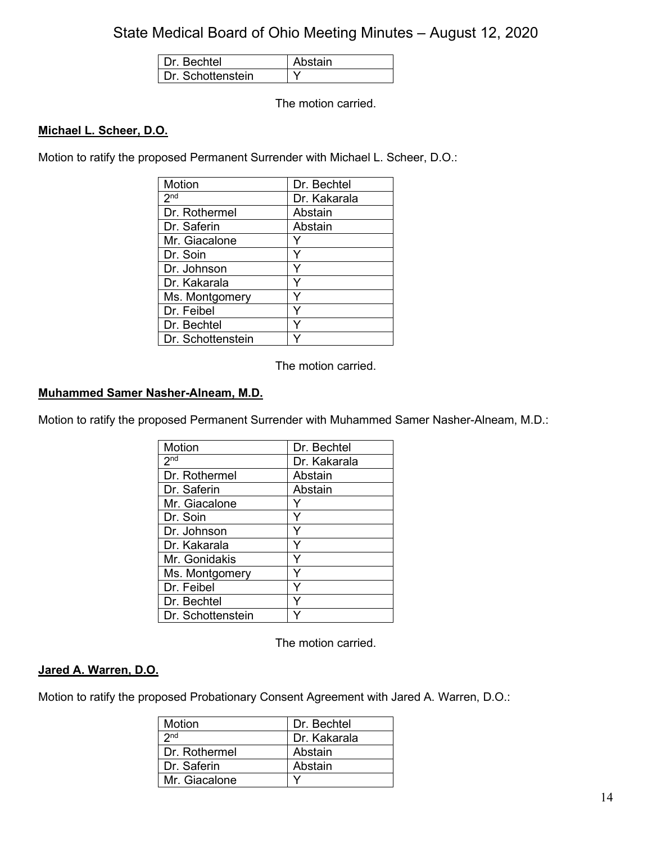| <b>Bechtel</b>    | stain |
|-------------------|-------|
| Dr. Schottenstein |       |

The motion carried.

### **Michael L. Scheer, D.O.**

Motion to ratify the proposed Permanent Surrender with Michael L. Scheer, D.O.:

| Motion            | Dr. Bechtel  |
|-------------------|--------------|
| 2 <sub>nd</sub>   | Dr. Kakarala |
| Dr. Rothermel     | Abstain      |
| Dr. Saferin       | Abstain      |
| Mr. Giacalone     |              |
| Dr. Soin          |              |
| Dr. Johnson       | Y            |
| Dr. Kakarala      | Y            |
| Ms. Montgomery    | Y            |
| Dr. Feibel        | Υ            |
| Dr. Bechtel       | ٧            |
| Dr. Schottenstein |              |

The motion carried.

#### **Muhammed Samer Nasher-Alneam, M.D.**

Motion to ratify the proposed Permanent Surrender with Muhammed Samer Nasher-Alneam, M.D.:

| Motion            | Dr. Bechtel  |
|-------------------|--------------|
| 2 <sub>nd</sub>   | Dr. Kakarala |
| Dr. Rothermel     | Abstain      |
| Dr. Saferin       | Abstain      |
| Mr. Giacalone     |              |
| Dr. Soin          |              |
| Dr. Johnson       | Υ            |
| Dr. Kakarala      | Ý            |
| Mr. Gonidakis     | Y            |
| Ms. Montgomery    | Y            |
| Dr. Feibel        | ٧            |
| Dr. Bechtel       |              |
| Dr. Schottenstein |              |

The motion carried.

#### **Jared A. Warren, D.O.**

Motion to ratify the proposed Probationary Consent Agreement with Jared A. Warren, D.O.:

| Motion          | Dr. Bechtel  |
|-----------------|--------------|
| 2 <sub>nd</sub> | Dr. Kakarala |
| Dr. Rothermel   | Abstain      |
| Dr. Saferin     | Abstain      |
| Mr. Giacalone   |              |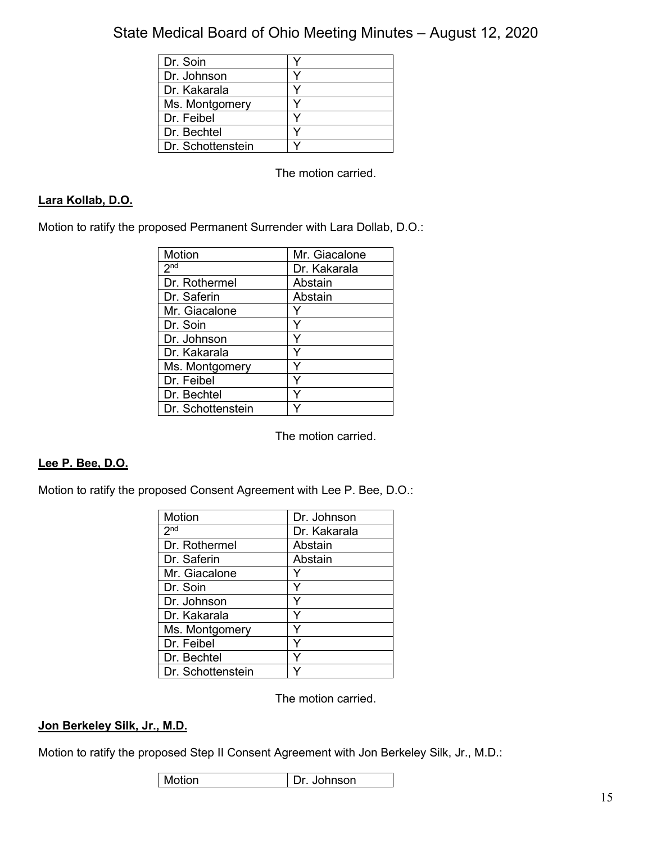| Dr. Soin          |  |
|-------------------|--|
| Dr. Johnson       |  |
| Dr. Kakarala      |  |
| Ms. Montgomery    |  |
| Dr. Feibel        |  |
| Dr. Bechtel       |  |
| Dr. Schottenstein |  |

The motion carried.

### **Lara Kollab, D.O.**

Motion to ratify the proposed Permanent Surrender with Lara Dollab, D.O.:

| Motion            | Mr. Giacalone |
|-------------------|---------------|
| 2 <sub>nd</sub>   | Dr. Kakarala  |
| Dr. Rothermel     | Abstain       |
| Dr. Saferin       | Abstain       |
| Mr. Giacalone     |               |
| Dr. Soin          | Y             |
| Dr. Johnson       | Y             |
| Dr. Kakarala      | Y             |
| Ms. Montgomery    | Y             |
| Dr. Feibel        | Y             |
| Dr. Bechtel       | ٧             |
| Dr. Schottenstein |               |

The motion carried.

### **Lee P. Bee, D.O.**

Motion to ratify the proposed Consent Agreement with Lee P. Bee, D.O.:

| Motion            | Dr. Johnson  |
|-------------------|--------------|
| 2 <sup>nd</sup>   | Dr. Kakarala |
| Dr. Rothermel     | Abstain      |
| Dr. Saferin       | Abstain      |
| Mr. Giacalone     |              |
| Dr. Soin          | Y            |
| Dr. Johnson       |              |
| Dr. Kakarala      | Y            |
| Ms. Montgomery    |              |
| Dr. Feibel        | Y            |
| Dr. Bechtel       | Y            |
| Dr. Schottenstein |              |

The motion carried.

#### **Jon Berkeley Silk, Jr., M.D.**

Motion to ratify the proposed Step II Consent Agreement with Jon Berkeley Silk, Jr., M.D.:

| Motion | Dr. Johnson |
|--------|-------------|
|--------|-------------|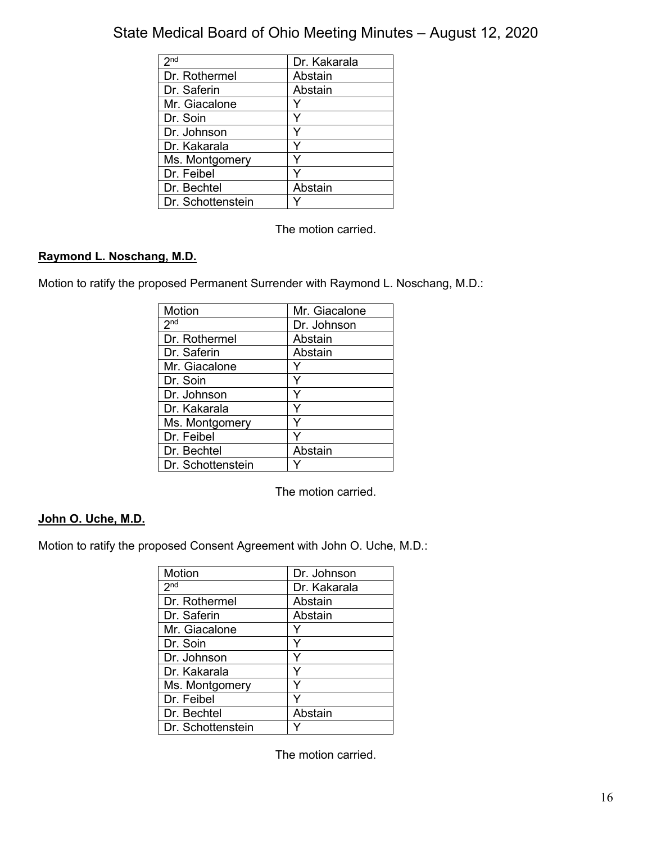| 2 <sub>nd</sub>   | Dr. Kakarala |
|-------------------|--------------|
| Dr. Rothermel     | Abstain      |
| Dr. Saferin       | Abstain      |
| Mr. Giacalone     |              |
| Dr. Soin          |              |
| Dr. Johnson       |              |
| Dr. Kakarala      |              |
| Ms. Montgomery    |              |
| Dr. Feibel        |              |
| Dr. Bechtel       | Abstain      |
| Dr. Schottenstein |              |

The motion carried.

## **Raymond L. Noschang, M.D.**

Motion to ratify the proposed Permanent Surrender with Raymond L. Noschang, M.D.:

| <b>Motion</b>     | Mr. Giacalone |
|-------------------|---------------|
| 2 <sub>nd</sub>   | Dr. Johnson   |
| Dr. Rothermel     | Abstain       |
| Dr. Saferin       | Abstain       |
| Mr. Giacalone     |               |
| Dr. Soin          | Y             |
| Dr. Johnson       |               |
| Dr. Kakarala      |               |
| Ms. Montgomery    |               |
| Dr. Feibel        |               |
| Dr. Bechtel       | Abstain       |
| Dr. Schottenstein |               |

The motion carried.

## **John O. Uche, M.D.**

Motion to ratify the proposed Consent Agreement with John O. Uche, M.D.:

| Motion            | Dr. Johnson  |
|-------------------|--------------|
| 2 <sub>nd</sub>   | Dr. Kakarala |
| Dr. Rothermel     | Abstain      |
| Dr. Saferin       | Abstain      |
| Mr. Giacalone     |              |
| Dr. Soin          | Y            |
| Dr. Johnson       | ٧            |
| Dr. Kakarala      | Υ            |
| Ms. Montgomery    |              |
| Dr. Feibel        |              |
| Dr. Bechtel       | Abstain      |
| Dr. Schottenstein |              |

The motion carried.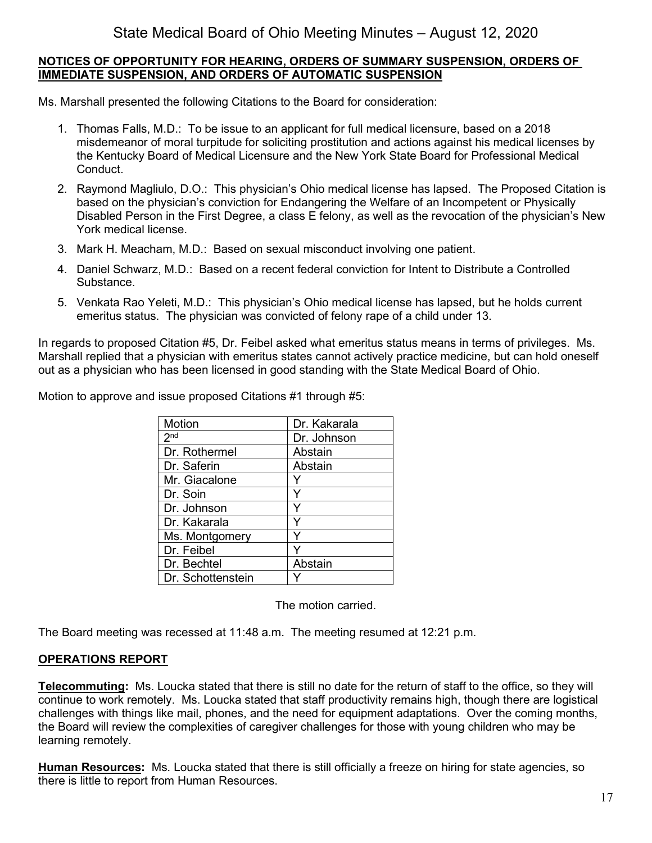#### **NOTICES OF OPPORTUNITY FOR HEARING, ORDERS OF SUMMARY SUSPENSION, ORDERS OF IMMEDIATE SUSPENSION, AND ORDERS OF AUTOMATIC SUSPENSION**

Ms. Marshall presented the following Citations to the Board for consideration:

- 1. Thomas Falls, M.D.: To be issue to an applicant for full medical licensure, based on a 2018 misdemeanor of moral turpitude for soliciting prostitution and actions against his medical licenses by the Kentucky Board of Medical Licensure and the New York State Board for Professional Medical Conduct.
- 2. Raymond Magliulo, D.O.: This physician's Ohio medical license has lapsed. The Proposed Citation is based on the physician's conviction for Endangering the Welfare of an Incompetent or Physically Disabled Person in the First Degree, a class E felony, as well as the revocation of the physician's New York medical license.
- 3. Mark H. Meacham, M.D.: Based on sexual misconduct involving one patient.
- 4. Daniel Schwarz, M.D.: Based on a recent federal conviction for Intent to Distribute a Controlled Substance.
- 5. Venkata Rao Yeleti, M.D.: This physician's Ohio medical license has lapsed, but he holds current emeritus status. The physician was convicted of felony rape of a child under 13.

In regards to proposed Citation #5, Dr. Feibel asked what emeritus status means in terms of privileges. Ms. Marshall replied that a physician with emeritus states cannot actively practice medicine, but can hold oneself out as a physician who has been licensed in good standing with the State Medical Board of Ohio.

Motion to approve and issue proposed Citations #1 through #5:

| Motion            | Dr. Kakarala |
|-------------------|--------------|
| 2 <sup>nd</sup>   | Dr. Johnson  |
| Dr. Rothermel     | Abstain      |
| Dr. Saferin       | Abstain      |
| Mr. Giacalone     |              |
| Dr. Soin          | Y            |
| Dr. Johnson       | Y            |
| Dr. Kakarala      | ٧            |
| Ms. Montgomery    |              |
| Dr. Feibel        |              |
| Dr. Bechtel       | Abstain      |
| Dr. Schottenstein |              |

The motion carried.

The Board meeting was recessed at 11:48 a.m. The meeting resumed at 12:21 p.m.

#### **OPERATIONS REPORT**

**Telecommuting:** Ms. Loucka stated that there is still no date for the return of staff to the office, so they will continue to work remotely. Ms. Loucka stated that staff productivity remains high, though there are logistical challenges with things like mail, phones, and the need for equipment adaptations. Over the coming months, the Board will review the complexities of caregiver challenges for those with young children who may be learning remotely.

**Human Resources:** Ms. Loucka stated that there is still officially a freeze on hiring for state agencies, so there is little to report from Human Resources.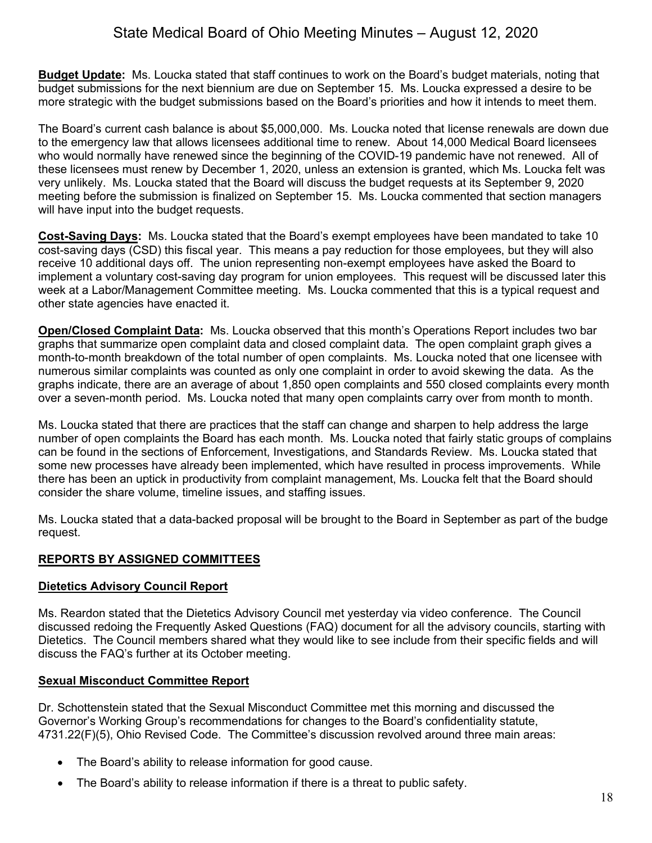**Budget Update:** Ms. Loucka stated that staff continues to work on the Board's budget materials, noting that budget submissions for the next biennium are due on September 15. Ms. Loucka expressed a desire to be more strategic with the budget submissions based on the Board's priorities and how it intends to meet them.

The Board's current cash balance is about \$5,000,000. Ms. Loucka noted that license renewals are down due to the emergency law that allows licensees additional time to renew. About 14,000 Medical Board licensees who would normally have renewed since the beginning of the COVID-19 pandemic have not renewed. All of these licensees must renew by December 1, 2020, unless an extension is granted, which Ms. Loucka felt was very unlikely. Ms. Loucka stated that the Board will discuss the budget requests at its September 9, 2020 meeting before the submission is finalized on September 15. Ms. Loucka commented that section managers will have input into the budget requests.

**Cost-Saving Days:** Ms. Loucka stated that the Board's exempt employees have been mandated to take 10 cost-saving days (CSD) this fiscal year. This means a pay reduction for those employees, but they will also receive 10 additional days off. The union representing non-exempt employees have asked the Board to implement a voluntary cost-saving day program for union employees. This request will be discussed later this week at a Labor/Management Committee meeting. Ms. Loucka commented that this is a typical request and other state agencies have enacted it.

**Open/Closed Complaint Data:** Ms. Loucka observed that this month's Operations Report includes two bar graphs that summarize open complaint data and closed complaint data. The open complaint graph gives a month-to-month breakdown of the total number of open complaints. Ms. Loucka noted that one licensee with numerous similar complaints was counted as only one complaint in order to avoid skewing the data. As the graphs indicate, there are an average of about 1,850 open complaints and 550 closed complaints every month over a seven-month period. Ms. Loucka noted that many open complaints carry over from month to month.

Ms. Loucka stated that there are practices that the staff can change and sharpen to help address the large number of open complaints the Board has each month. Ms. Loucka noted that fairly static groups of complains can be found in the sections of Enforcement, Investigations, and Standards Review. Ms. Loucka stated that some new processes have already been implemented, which have resulted in process improvements. While there has been an uptick in productivity from complaint management, Ms. Loucka felt that the Board should consider the share volume, timeline issues, and staffing issues.

Ms. Loucka stated that a data-backed proposal will be brought to the Board in September as part of the budge request.

### **REPORTS BY ASSIGNED COMMITTEES**

### **Dietetics Advisory Council Report**

Ms. Reardon stated that the Dietetics Advisory Council met yesterday via video conference. The Council discussed redoing the Frequently Asked Questions (FAQ) document for all the advisory councils, starting with Dietetics. The Council members shared what they would like to see include from their specific fields and will discuss the FAQ's further at its October meeting.

### **Sexual Misconduct Committee Report**

Dr. Schottenstein stated that the Sexual Misconduct Committee met this morning and discussed the Governor's Working Group's recommendations for changes to the Board's confidentiality statute, 4731.22(F)(5), Ohio Revised Code. The Committee's discussion revolved around three main areas:

- The Board's ability to release information for good cause.
- The Board's ability to release information if there is a threat to public safety.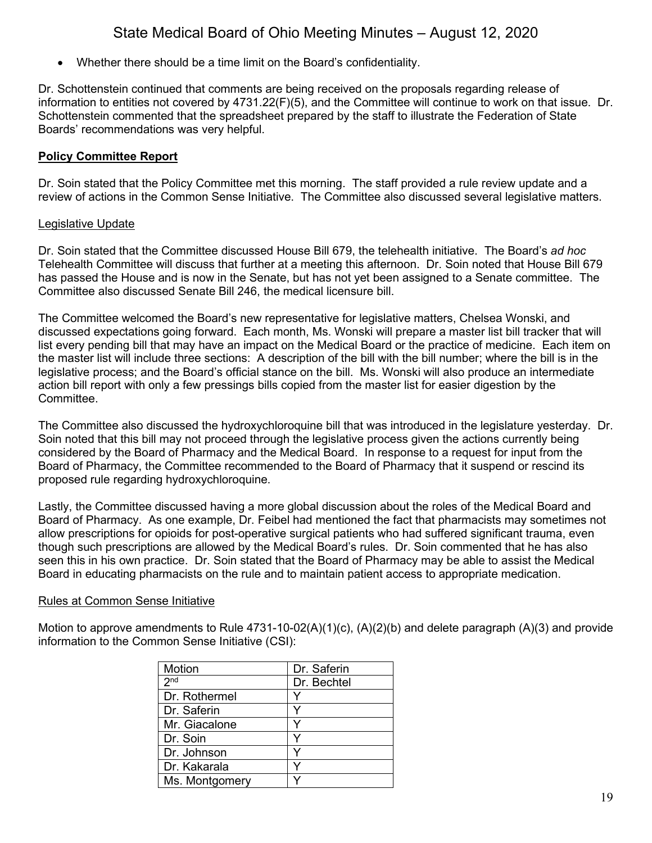• Whether there should be a time limit on the Board's confidentiality.

Dr. Schottenstein continued that comments are being received on the proposals regarding release of information to entities not covered by 4731.22(F)(5), and the Committee will continue to work on that issue. Dr. Schottenstein commented that the spreadsheet prepared by the staff to illustrate the Federation of State Boards' recommendations was very helpful.

### **Policy Committee Report**

Dr. Soin stated that the Policy Committee met this morning. The staff provided a rule review update and a review of actions in the Common Sense Initiative. The Committee also discussed several legislative matters.

### Legislative Update

Dr. Soin stated that the Committee discussed House Bill 679, the telehealth initiative. The Board's *ad hoc* Telehealth Committee will discuss that further at a meeting this afternoon. Dr. Soin noted that House Bill 679 has passed the House and is now in the Senate, but has not yet been assigned to a Senate committee. The Committee also discussed Senate Bill 246, the medical licensure bill.

The Committee welcomed the Board's new representative for legislative matters, Chelsea Wonski, and discussed expectations going forward. Each month, Ms. Wonski will prepare a master list bill tracker that will list every pending bill that may have an impact on the Medical Board or the practice of medicine. Each item on the master list will include three sections: A description of the bill with the bill number; where the bill is in the legislative process; and the Board's official stance on the bill. Ms. Wonski will also produce an intermediate action bill report with only a few pressings bills copied from the master list for easier digestion by the Committee.

The Committee also discussed the hydroxychloroquine bill that was introduced in the legislature yesterday. Dr. Soin noted that this bill may not proceed through the legislative process given the actions currently being considered by the Board of Pharmacy and the Medical Board. In response to a request for input from the Board of Pharmacy, the Committee recommended to the Board of Pharmacy that it suspend or rescind its proposed rule regarding hydroxychloroquine.

Lastly, the Committee discussed having a more global discussion about the roles of the Medical Board and Board of Pharmacy. As one example, Dr. Feibel had mentioned the fact that pharmacists may sometimes not allow prescriptions for opioids for post-operative surgical patients who had suffered significant trauma, even though such prescriptions are allowed by the Medical Board's rules. Dr. Soin commented that he has also seen this in his own practice. Dr. Soin stated that the Board of Pharmacy may be able to assist the Medical Board in educating pharmacists on the rule and to maintain patient access to appropriate medication.

#### Rules at Common Sense Initiative

Motion to approve amendments to Rule  $4731-10-02(A)(1)(c)$ ,  $(A)(2)(b)$  and delete paragraph  $(A)(3)$  and provide information to the Common Sense Initiative (CSI):

| Motion          | Dr. Saferin |
|-----------------|-------------|
| 2 <sup>nd</sup> | Dr. Bechtel |
| Dr. Rothermel   | v           |
| Dr. Saferin     | v           |
| Mr. Giacalone   |             |
| Dr. Soin        |             |
| Dr. Johnson     |             |
| Dr. Kakarala    |             |
| Ms. Montgomery  |             |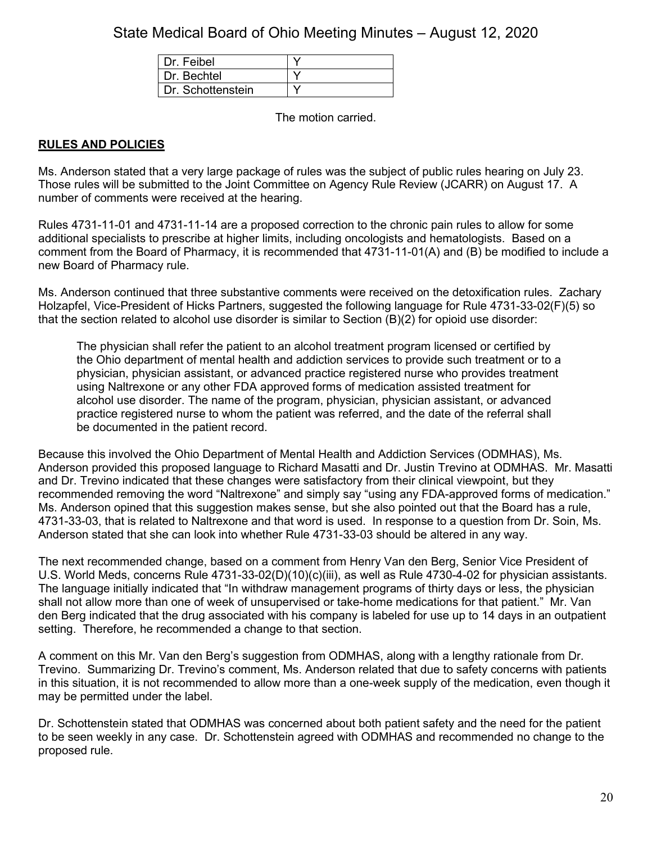| Dr. Feibel        |  |
|-------------------|--|
| Dr. Bechtel       |  |
| Dr. Schottenstein |  |

The motion carried.

### **RULES AND POLICIES**

Ms. Anderson stated that a very large package of rules was the subject of public rules hearing on July 23. Those rules will be submitted to the Joint Committee on Agency Rule Review (JCARR) on August 17. A number of comments were received at the hearing.

Rules 4731-11-01 and 4731-11-14 are a proposed correction to the chronic pain rules to allow for some additional specialists to prescribe at higher limits, including oncologists and hematologists. Based on a comment from the Board of Pharmacy, it is recommended that 4731-11-01(A) and (B) be modified to include a new Board of Pharmacy rule.

Ms. Anderson continued that three substantive comments were received on the detoxification rules. Zachary Holzapfel, Vice-President of Hicks Partners, suggested the following language for Rule 4731-33-02(F)(5) so that the section related to alcohol use disorder is similar to Section (B)(2) for opioid use disorder:

The physician shall refer the patient to an alcohol treatment program licensed or certified by the Ohio department of mental health and addiction services to provide such treatment or to a physician, physician assistant, or advanced practice registered nurse who provides treatment using Naltrexone or any other FDA approved forms of medication assisted treatment for alcohol use disorder. The name of the program, physician, physician assistant, or advanced practice registered nurse to whom the patient was referred, and the date of the referral shall be documented in the patient record.

Because this involved the Ohio Department of Mental Health and Addiction Services (ODMHAS), Ms. Anderson provided this proposed language to Richard Masatti and Dr. Justin Trevino at ODMHAS. Mr. Masatti and Dr. Trevino indicated that these changes were satisfactory from their clinical viewpoint, but they recommended removing the word "Naltrexone" and simply say "using any FDA-approved forms of medication." Ms. Anderson opined that this suggestion makes sense, but she also pointed out that the Board has a rule, 4731-33-03, that is related to Naltrexone and that word is used. In response to a question from Dr. Soin, Ms. Anderson stated that she can look into whether Rule 4731-33-03 should be altered in any way.

The next recommended change, based on a comment from Henry Van den Berg, Senior Vice President of U.S. World Meds, concerns Rule 4731-33-02(D)(10)(c)(iii), as well as Rule 4730-4-02 for physician assistants. The language initially indicated that "In withdraw management programs of thirty days or less, the physician shall not allow more than one of week of unsupervised or take-home medications for that patient." Mr. Van den Berg indicated that the drug associated with his company is labeled for use up to 14 days in an outpatient setting. Therefore, he recommended a change to that section.

A comment on this Mr. Van den Berg's suggestion from ODMHAS, along with a lengthy rationale from Dr. Trevino. Summarizing Dr. Trevino's comment, Ms. Anderson related that due to safety concerns with patients in this situation, it is not recommended to allow more than a one-week supply of the medication, even though it may be permitted under the label.

Dr. Schottenstein stated that ODMHAS was concerned about both patient safety and the need for the patient to be seen weekly in any case. Dr. Schottenstein agreed with ODMHAS and recommended no change to the proposed rule.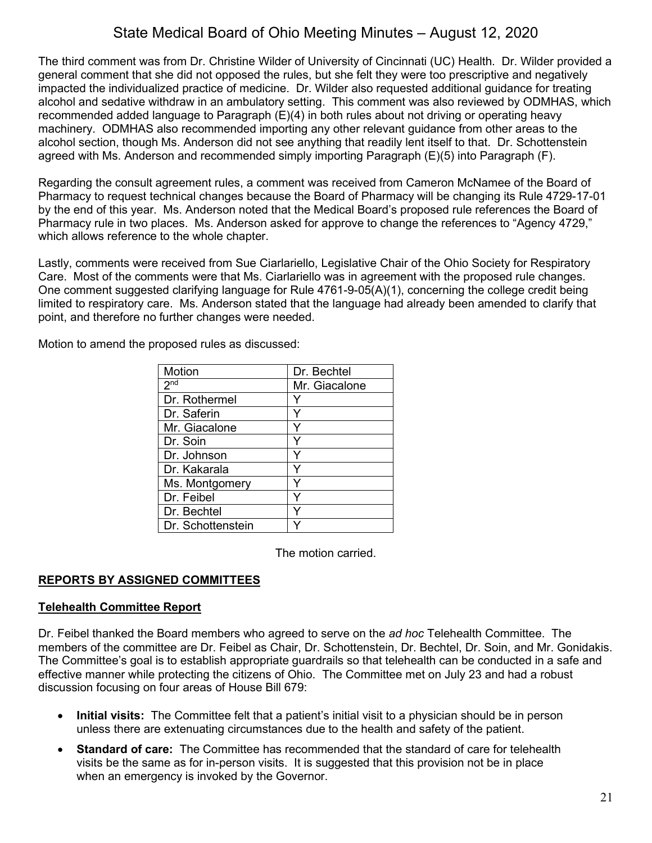The third comment was from Dr. Christine Wilder of University of Cincinnati (UC) Health. Dr. Wilder provided a general comment that she did not opposed the rules, but she felt they were too prescriptive and negatively impacted the individualized practice of medicine. Dr. Wilder also requested additional guidance for treating alcohol and sedative withdraw in an ambulatory setting. This comment was also reviewed by ODMHAS, which recommended added language to Paragraph (E)(4) in both rules about not driving or operating heavy machinery. ODMHAS also recommended importing any other relevant guidance from other areas to the alcohol section, though Ms. Anderson did not see anything that readily lent itself to that. Dr. Schottenstein agreed with Ms. Anderson and recommended simply importing Paragraph (E)(5) into Paragraph (F).

Regarding the consult agreement rules, a comment was received from Cameron McNamee of the Board of Pharmacy to request technical changes because the Board of Pharmacy will be changing its Rule 4729-17-01 by the end of this year. Ms. Anderson noted that the Medical Board's proposed rule references the Board of Pharmacy rule in two places. Ms. Anderson asked for approve to change the references to "Agency 4729," which allows reference to the whole chapter.

Lastly, comments were received from Sue Ciarlariello, Legislative Chair of the Ohio Society for Respiratory Care. Most of the comments were that Ms. Ciarlariello was in agreement with the proposed rule changes. One comment suggested clarifying language for Rule 4761-9-05(A)(1), concerning the college credit being limited to respiratory care. Ms. Anderson stated that the language had already been amended to clarify that point, and therefore no further changes were needed.

Motion to amend the proposed rules as discussed:

| <b>Motion</b>     | Dr. Bechtel   |
|-------------------|---------------|
| 2 <sub>nd</sub>   | Mr. Giacalone |
| Dr. Rothermel     |               |
| Dr. Saferin       |               |
| Mr. Giacalone     |               |
| Dr. Soin          |               |
| Dr. Johnson       |               |
| Dr. Kakarala      |               |
| Ms. Montgomery    |               |
| Dr. Feibel        |               |
| Dr. Bechtel       |               |
| Dr. Schottenstein |               |

The motion carried.

#### **REPORTS BY ASSIGNED COMMITTEES**

#### **Telehealth Committee Report**

Dr. Feibel thanked the Board members who agreed to serve on the *ad hoc* Telehealth Committee. The members of the committee are Dr. Feibel as Chair, Dr. Schottenstein, Dr. Bechtel, Dr. Soin, and Mr. Gonidakis. The Committee's goal is to establish appropriate guardrails so that telehealth can be conducted in a safe and effective manner while protecting the citizens of Ohio. The Committee met on July 23 and had a robust discussion focusing on four areas of House Bill 679:

- **Initial visits:** The Committee felt that a patient's initial visit to a physician should be in person unless there are extenuating circumstances due to the health and safety of the patient.
- **Standard of care:** The Committee has recommended that the standard of care for telehealth visits be the same as for in-person visits. It is suggested that this provision not be in place when an emergency is invoked by the Governor.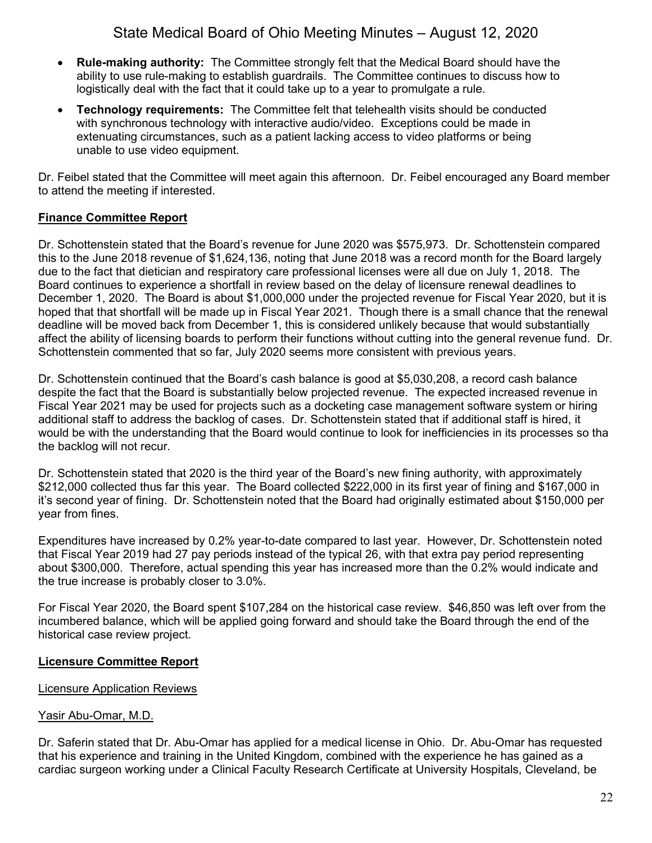- **Rule-making authority:** The Committee strongly felt that the Medical Board should have the ability to use rule-making to establish guardrails. The Committee continues to discuss how to logistically deal with the fact that it could take up to a year to promulgate a rule.
- **Technology requirements:** The Committee felt that telehealth visits should be conducted with synchronous technology with interactive audio/video. Exceptions could be made in extenuating circumstances, such as a patient lacking access to video platforms or being unable to use video equipment.

Dr. Feibel stated that the Committee will meet again this afternoon. Dr. Feibel encouraged any Board member to attend the meeting if interested.

### **Finance Committee Report**

Dr. Schottenstein stated that the Board's revenue for June 2020 was \$575,973. Dr. Schottenstein compared this to the June 2018 revenue of \$1,624,136, noting that June 2018 was a record month for the Board largely due to the fact that dietician and respiratory care professional licenses were all due on July 1, 2018. The Board continues to experience a shortfall in review based on the delay of licensure renewal deadlines to December 1, 2020. The Board is about \$1,000,000 under the projected revenue for Fiscal Year 2020, but it is hoped that that shortfall will be made up in Fiscal Year 2021. Though there is a small chance that the renewal deadline will be moved back from December 1, this is considered unlikely because that would substantially affect the ability of licensing boards to perform their functions without cutting into the general revenue fund. Dr. Schottenstein commented that so far, July 2020 seems more consistent with previous years.

Dr. Schottenstein continued that the Board's cash balance is good at \$5,030,208, a record cash balance despite the fact that the Board is substantially below projected revenue. The expected increased revenue in Fiscal Year 2021 may be used for projects such as a docketing case management software system or hiring additional staff to address the backlog of cases. Dr. Schottenstein stated that if additional staff is hired, it would be with the understanding that the Board would continue to look for inefficiencies in its processes so tha the backlog will not recur.

Dr. Schottenstein stated that 2020 is the third year of the Board's new fining authority, with approximately \$212,000 collected thus far this year. The Board collected \$222,000 in its first year of fining and \$167,000 in it's second year of fining. Dr. Schottenstein noted that the Board had originally estimated about \$150,000 per year from fines.

Expenditures have increased by 0.2% year-to-date compared to last year. However, Dr. Schottenstein noted that Fiscal Year 2019 had 27 pay periods instead of the typical 26, with that extra pay period representing about \$300,000. Therefore, actual spending this year has increased more than the 0.2% would indicate and the true increase is probably closer to 3.0%.

For Fiscal Year 2020, the Board spent \$107,284 on the historical case review. \$46,850 was left over from the incumbered balance, which will be applied going forward and should take the Board through the end of the historical case review project.

### **Licensure Committee Report**

### Licensure Application Reviews

### Yasir Abu-Omar, M.D.

Dr. Saferin stated that Dr. Abu-Omar has applied for a medical license in Ohio. Dr. Abu-Omar has requested that his experience and training in the United Kingdom, combined with the experience he has gained as a cardiac surgeon working under a Clinical Faculty Research Certificate at University Hospitals, Cleveland, be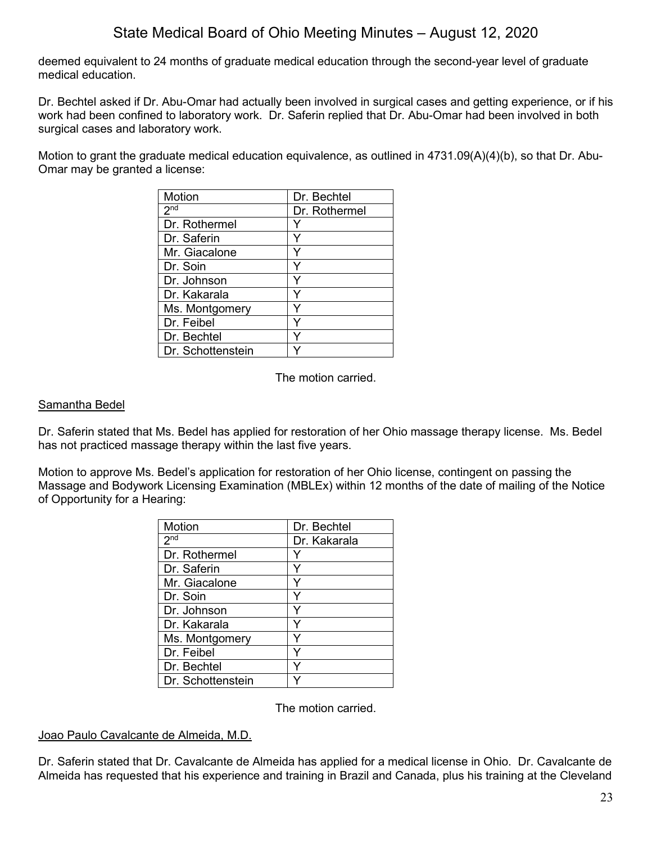deemed equivalent to 24 months of graduate medical education through the second-year level of graduate medical education.

Dr. Bechtel asked if Dr. Abu-Omar had actually been involved in surgical cases and getting experience, or if his work had been confined to laboratory work. Dr. Saferin replied that Dr. Abu-Omar had been involved in both surgical cases and laboratory work.

Motion to grant the graduate medical education equivalence, as outlined in 4731.09(A)(4)(b), so that Dr. Abu-Omar may be granted a license:

| Motion            | Dr. Bechtel   |
|-------------------|---------------|
| 2 <sub>nd</sub>   | Dr. Rothermel |
| Dr. Rothermel     |               |
| Dr. Saferin       |               |
| Mr. Giacalone     |               |
| Dr. Soin          |               |
| Dr. Johnson       |               |
| Dr. Kakarala      |               |
| Ms. Montgomery    |               |
| Dr. Feibel        |               |
| Dr. Bechtel       |               |
| Dr. Schottenstein |               |

The motion carried.

#### Samantha Bedel

Dr. Saferin stated that Ms. Bedel has applied for restoration of her Ohio massage therapy license. Ms. Bedel has not practiced massage therapy within the last five years.

Motion to approve Ms. Bedel's application for restoration of her Ohio license, contingent on passing the Massage and Bodywork Licensing Examination (MBLEx) within 12 months of the date of mailing of the Notice of Opportunity for a Hearing:

| <b>Motion</b>     | Dr. Bechtel  |
|-------------------|--------------|
| 2 <sup>nd</sup>   | Dr. Kakarala |
| Dr. Rothermel     |              |
| Dr. Saferin       |              |
| Mr. Giacalone     |              |
| Dr. Soin          |              |
| Dr. Johnson       |              |
| Dr. Kakarala      |              |
| Ms. Montgomery    |              |
| Dr. Feibel        | v            |
| Dr. Bechtel       |              |
| Dr. Schottenstein |              |

The motion carried.

#### Joao Paulo Cavalcante de Almeida, M.D.

Dr. Saferin stated that Dr. Cavalcante de Almeida has applied for a medical license in Ohio. Dr. Cavalcante de Almeida has requested that his experience and training in Brazil and Canada, plus his training at the Cleveland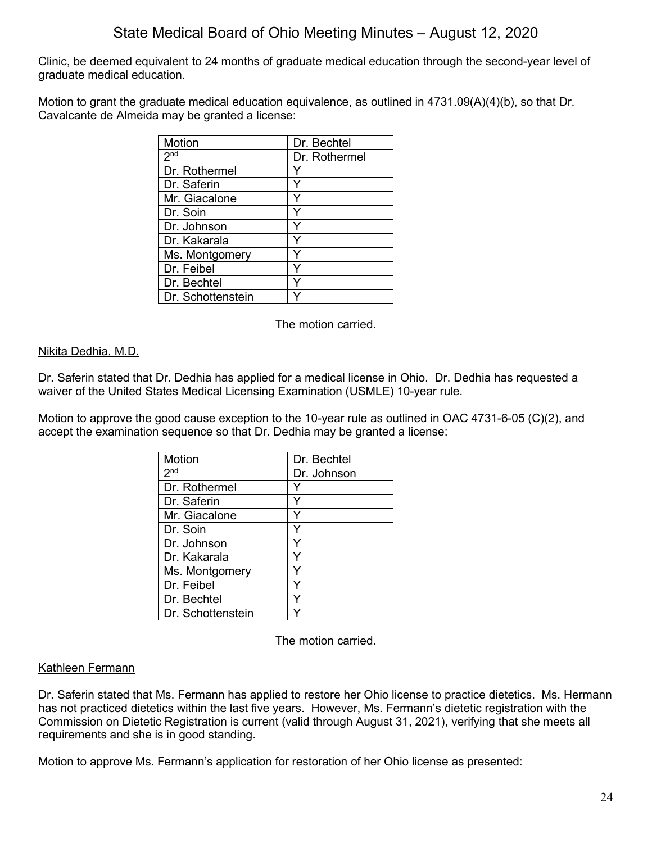Clinic, be deemed equivalent to 24 months of graduate medical education through the second-year level of graduate medical education.

Motion to grant the graduate medical education equivalence, as outlined in 4731.09(A)(4)(b), so that Dr. Cavalcante de Almeida may be granted a license:

| <b>Motion</b>     | Dr. Bechtel   |
|-------------------|---------------|
| 2 <sub>nd</sub>   | Dr. Rothermel |
| Dr. Rothermel     |               |
| Dr. Saferin       |               |
| Mr. Giacalone     |               |
| Dr. Soin          |               |
| Dr. Johnson       |               |
| Dr. Kakarala      |               |
| Ms. Montgomery    |               |
| Dr. Feibel        |               |
| Dr. Bechtel       |               |
| Dr. Schottenstein |               |

The motion carried.

#### Nikita Dedhia, M.D.

Dr. Saferin stated that Dr. Dedhia has applied for a medical license in Ohio. Dr. Dedhia has requested a waiver of the United States Medical Licensing Examination (USMLE) 10-year rule.

Motion to approve the good cause exception to the 10-year rule as outlined in OAC 4731-6-05 (C)(2), and accept the examination sequence so that Dr. Dedhia may be granted a license:

| Motion            | Dr. Bechtel |
|-------------------|-------------|
| 2 <sup>nd</sup>   | Dr. Johnson |
| Dr. Rothermel     |             |
| Dr. Saferin       | Y           |
| Mr. Giacalone     |             |
| Dr. Soin          | ٧           |
| Dr. Johnson       | Y           |
| Dr. Kakarala      |             |
| Ms. Montgomery    |             |
| Dr. Feibel        | Y           |
| Dr. Bechtel       |             |
| Dr. Schottenstein |             |

The motion carried.

#### Kathleen Fermann

Dr. Saferin stated that Ms. Fermann has applied to restore her Ohio license to practice dietetics. Ms. Hermann has not practiced dietetics within the last five years. However, Ms. Fermann's dietetic registration with the Commission on Dietetic Registration is current (valid through August 31, 2021), verifying that she meets all requirements and she is in good standing.

Motion to approve Ms. Fermann's application for restoration of her Ohio license as presented: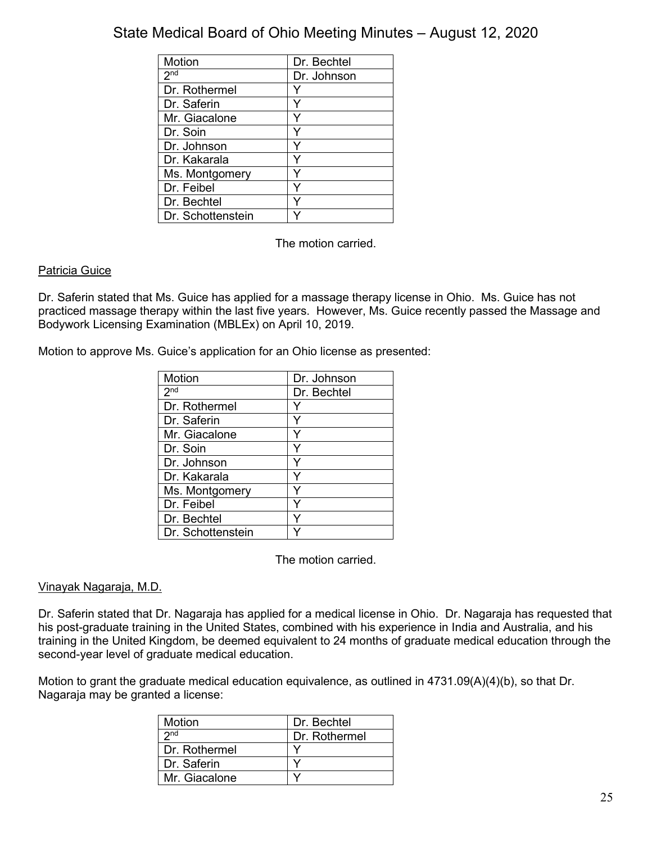| Motion            | Dr. Bechtel |
|-------------------|-------------|
| 2 <sup>nd</sup>   | Dr. Johnson |
| Dr. Rothermel     |             |
| Dr. Saferin       |             |
| Mr. Giacalone     |             |
| Dr. Soin          |             |
| Dr. Johnson       |             |
| Dr. Kakarala      |             |
| Ms. Montgomery    |             |
| Dr. Feibel        |             |
| Dr. Bechtel       |             |
| Dr. Schottenstein |             |

The motion carried.

### Patricia Guice

Dr. Saferin stated that Ms. Guice has applied for a massage therapy license in Ohio. Ms. Guice has not practiced massage therapy within the last five years. However, Ms. Guice recently passed the Massage and Bodywork Licensing Examination (MBLEx) on April 10, 2019.

Motion to approve Ms. Guice's application for an Ohio license as presented:

| Motion            | Dr. Johnson |
|-------------------|-------------|
| 2 <sup>nd</sup>   | Dr. Bechtel |
| Dr. Rothermel     |             |
| Dr. Saferin       |             |
| Mr. Giacalone     |             |
| Dr. Soin          |             |
| Dr. Johnson       |             |
| Dr. Kakarala      |             |
| Ms. Montgomery    |             |
| Dr. Feibel        |             |
| Dr. Bechtel       | Y           |
| Dr. Schottenstein |             |

The motion carried.

### Vinayak Nagaraja, M.D.

Dr. Saferin stated that Dr. Nagaraja has applied for a medical license in Ohio. Dr. Nagaraja has requested that his post-graduate training in the United States, combined with his experience in India and Australia, and his training in the United Kingdom, be deemed equivalent to 24 months of graduate medical education through the second-year level of graduate medical education.

Motion to grant the graduate medical education equivalence, as outlined in 4731.09(A)(4)(b), so that Dr. Nagaraja may be granted a license:

| Motion          | Dr. Bechtel   |
|-----------------|---------------|
| 2 <sub>nd</sub> | Dr. Rothermel |
| Dr. Rothermel   |               |
| Dr. Saferin     |               |
| Mr. Giacalone   |               |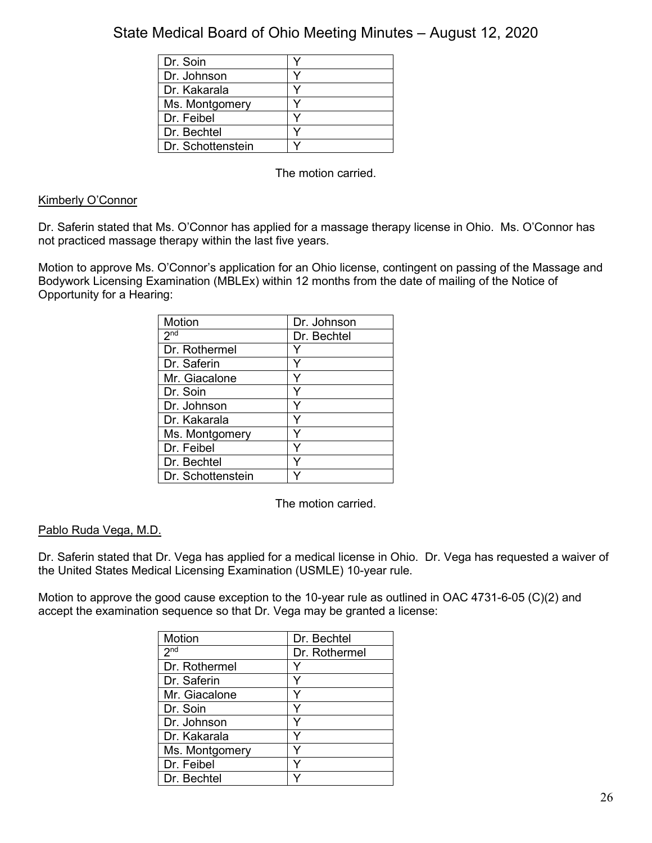| Dr. Soin          |  |
|-------------------|--|
| Dr. Johnson       |  |
| Dr. Kakarala      |  |
| Ms. Montgomery    |  |
| Dr. Feibel        |  |
| Dr. Bechtel       |  |
| Dr. Schottenstein |  |

The motion carried.

#### Kimberly O'Connor

Dr. Saferin stated that Ms. O'Connor has applied for a massage therapy license in Ohio. Ms. O'Connor has not practiced massage therapy within the last five years.

Motion to approve Ms. O'Connor's application for an Ohio license, contingent on passing of the Massage and Bodywork Licensing Examination (MBLEx) within 12 months from the date of mailing of the Notice of Opportunity for a Hearing:

| <b>Motion</b>     | Dr. Johnson |
|-------------------|-------------|
| 2 <sub>nd</sub>   | Dr. Bechtel |
| Dr. Rothermel     |             |
| Dr. Saferin       |             |
| Mr. Giacalone     |             |
| Dr. Soin          |             |
| Dr. Johnson       | Y           |
| Dr. Kakarala      |             |
| Ms. Montgomery    |             |
| Dr. Feibel        | Y           |
| Dr. Bechtel       | v           |
| Dr. Schottenstein |             |

The motion carried.

#### Pablo Ruda Vega, M.D.

Dr. Saferin stated that Dr. Vega has applied for a medical license in Ohio. Dr. Vega has requested a waiver of the United States Medical Licensing Examination (USMLE) 10-year rule.

Motion to approve the good cause exception to the 10-year rule as outlined in OAC 4731-6-05 (C)(2) and accept the examination sequence so that Dr. Vega may be granted a license:

| Motion          | Dr. Bechtel   |
|-----------------|---------------|
| 2 <sub>nd</sub> | Dr. Rothermel |
| Dr. Rothermel   | v             |
| Dr. Saferin     |               |
| Mr. Giacalone   |               |
| Dr. Soin        |               |
| Dr. Johnson     |               |
| Dr. Kakarala    | ٧             |
| Ms. Montgomery  |               |
| Dr. Feibel      |               |
| Dr. Bechtel     |               |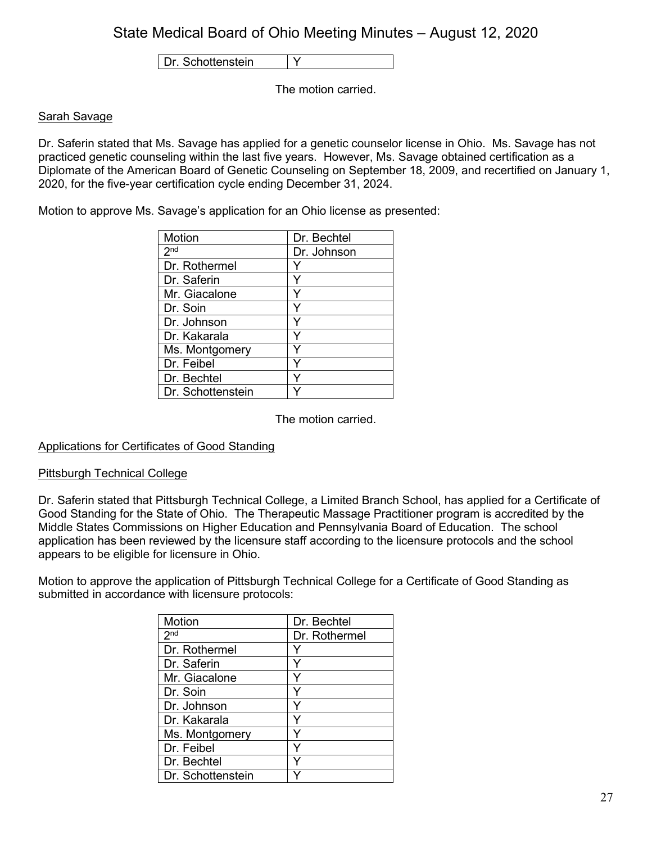Dr. Schottenstein | Y

The motion carried.

### Sarah Savage

Dr. Saferin stated that Ms. Savage has applied for a genetic counselor license in Ohio. Ms. Savage has not practiced genetic counseling within the last five years. However, Ms. Savage obtained certification as a Diplomate of the American Board of Genetic Counseling on September 18, 2009, and recertified on January 1, 2020, for the five-year certification cycle ending December 31, 2024.

Motion to approve Ms. Savage's application for an Ohio license as presented:

| Motion            | Dr. Bechtel |
|-------------------|-------------|
| 2 <sup>nd</sup>   | Dr. Johnson |
| Dr. Rothermel     |             |
| Dr. Saferin       |             |
| Mr. Giacalone     | Y           |
| Dr. Soin          |             |
| Dr. Johnson       | ٧           |
| Dr. Kakarala      | ٧           |
| Ms. Montgomery    |             |
| Dr. Feibel        | Y           |
| Dr. Bechtel       | ٧           |
| Dr. Schottenstein |             |

The motion carried.

### Applications for Certificates of Good Standing

#### Pittsburgh Technical College

Dr. Saferin stated that Pittsburgh Technical College, a Limited Branch School, has applied for a Certificate of Good Standing for the State of Ohio. The Therapeutic Massage Practitioner program is accredited by the Middle States Commissions on Higher Education and Pennsylvania Board of Education. The school application has been reviewed by the licensure staff according to the licensure protocols and the school appears to be eligible for licensure in Ohio.

Motion to approve the application of Pittsburgh Technical College for a Certificate of Good Standing as submitted in accordance with licensure protocols:

| <b>Motion</b>     | Dr. Bechtel   |
|-------------------|---------------|
| 2 <sub>nd</sub>   | Dr. Rothermel |
| Dr. Rothermel     |               |
| Dr. Saferin       | Y             |
| Mr. Giacalone     | Y             |
| Dr. Soin          | ٧             |
| Dr. Johnson       | Y             |
| Dr. Kakarala      | Y             |
| Ms. Montgomery    |               |
| Dr. Feibel        | Y             |
| Dr. Bechtel       | ٧             |
| Dr. Schottenstein |               |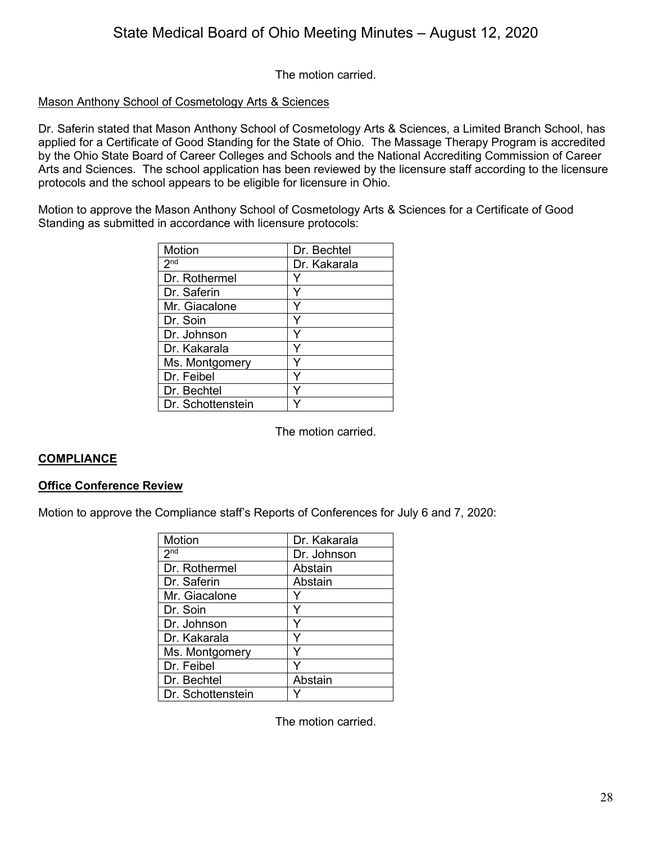The motion carried.

### Mason Anthony School of Cosmetology Arts & Sciences

Dr. Saferin stated that Mason Anthony School of Cosmetology Arts & Sciences, a Limited Branch School, has applied for a Certificate of Good Standing for the State of Ohio. The Massage Therapy Program is accredited by the Ohio State Board of Career Colleges and Schools and the National Accrediting Commission of Career Arts and Sciences. The school application has been reviewed by the licensure staff according to the licensure protocols and the school appears to be eligible for licensure in Ohio.

Motion to approve the Mason Anthony School of Cosmetology Arts & Sciences for a Certificate of Good Standing as submitted in accordance with licensure protocols:

| Motion            | Dr. Bechtel  |
|-------------------|--------------|
| 2 <sub>nd</sub>   | Dr. Kakarala |
| Dr. Rothermel     |              |
| Dr. Saferin       |              |
| Mr. Giacalone     |              |
| Dr. Soin          |              |
| Dr. Johnson       |              |
| Dr. Kakarala      | v            |
| Ms. Montgomery    |              |
| Dr. Feibel        |              |
| Dr. Bechtel       |              |
| Dr. Schottenstein |              |

The motion carried.

### **COMPLIANCE**

#### **Office Conference Review**

Motion to approve the Compliance staff's Reports of Conferences for July 6 and 7, 2020:

| Motion            | Dr. Kakarala |
|-------------------|--------------|
| 2 <sup>nd</sup>   | Dr. Johnson  |
| Dr. Rothermel     | Abstain      |
| Dr. Saferin       | Abstain      |
| Mr. Giacalone     |              |
| Dr. Soin          |              |
| Dr. Johnson       |              |
| Dr. Kakarala      |              |
| Ms. Montgomery    |              |
| Dr. Feibel        |              |
| Dr. Bechtel       | Abstain      |
| Dr. Schottenstein |              |

The motion carried.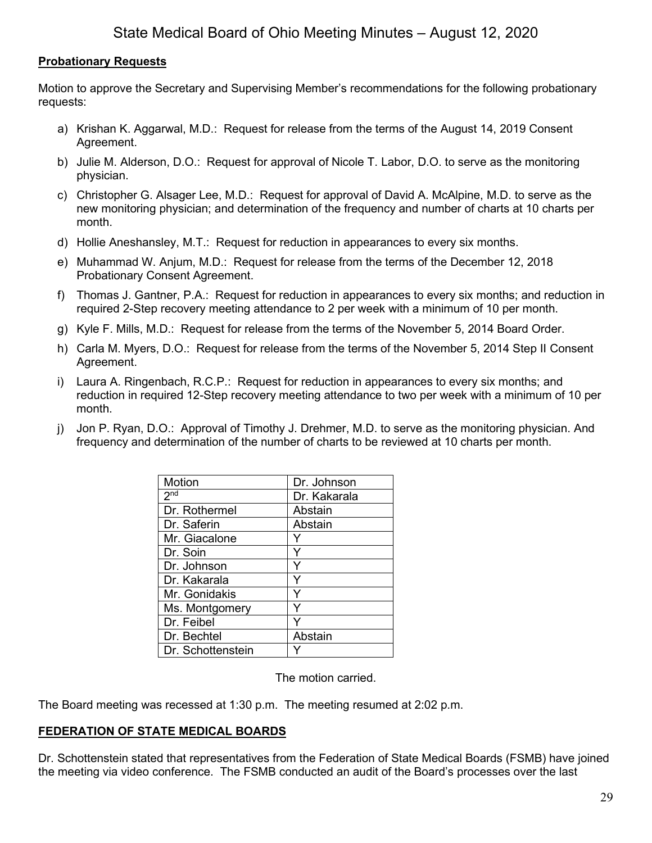### **Probationary Requests**

Motion to approve the Secretary and Supervising Member's recommendations for the following probationary requests:

- a) Krishan K. Aggarwal, M.D.: Request for release from the terms of the August 14, 2019 Consent Agreement.
- b) Julie M. Alderson, D.O.: Request for approval of Nicole T. Labor, D.O. to serve as the monitoring physician.
- c) Christopher G. Alsager Lee, M.D.: Request for approval of David A. McAlpine, M.D. to serve as the new monitoring physician; and determination of the frequency and number of charts at 10 charts per month.
- d) Hollie Aneshansley, M.T.: Request for reduction in appearances to every six months.
- e) Muhammad W. Anjum, M.D.: Request for release from the terms of the December 12, 2018 Probationary Consent Agreement.
- f) Thomas J. Gantner, P.A.: Request for reduction in appearances to every six months; and reduction in required 2-Step recovery meeting attendance to 2 per week with a minimum of 10 per month.
- g) Kyle F. Mills, M.D.: Request for release from the terms of the November 5, 2014 Board Order.
- h) Carla M. Myers, D.O.: Request for release from the terms of the November 5, 2014 Step II Consent Agreement.
- i) Laura A. Ringenbach, R.C.P.: Request for reduction in appearances to every six months; and reduction in required 12-Step recovery meeting attendance to two per week with a minimum of 10 per month.
- j) Jon P. Ryan, D.O.: Approval of Timothy J. Drehmer, M.D. to serve as the monitoring physician. And frequency and determination of the number of charts to be reviewed at 10 charts per month.

| Motion            | Dr. Johnson  |
|-------------------|--------------|
| 2 <sub>nd</sub>   | Dr. Kakarala |
| Dr. Rothermel     | Abstain      |
| Dr. Saferin       | Abstain      |
| Mr. Giacalone     |              |
| Dr. Soin          | Y            |
| Dr. Johnson       |              |
| Dr. Kakarala      | Υ            |
| Mr. Gonidakis     |              |
| Ms. Montgomery    |              |
| Dr. Feibel        |              |
| Dr. Bechtel       | Abstain      |
| Dr. Schottenstein |              |

The motion carried.

The Board meeting was recessed at 1:30 p.m. The meeting resumed at 2:02 p.m.

### **FEDERATION OF STATE MEDICAL BOARDS**

Dr. Schottenstein stated that representatives from the Federation of State Medical Boards (FSMB) have joined the meeting via video conference. The FSMB conducted an audit of the Board's processes over the last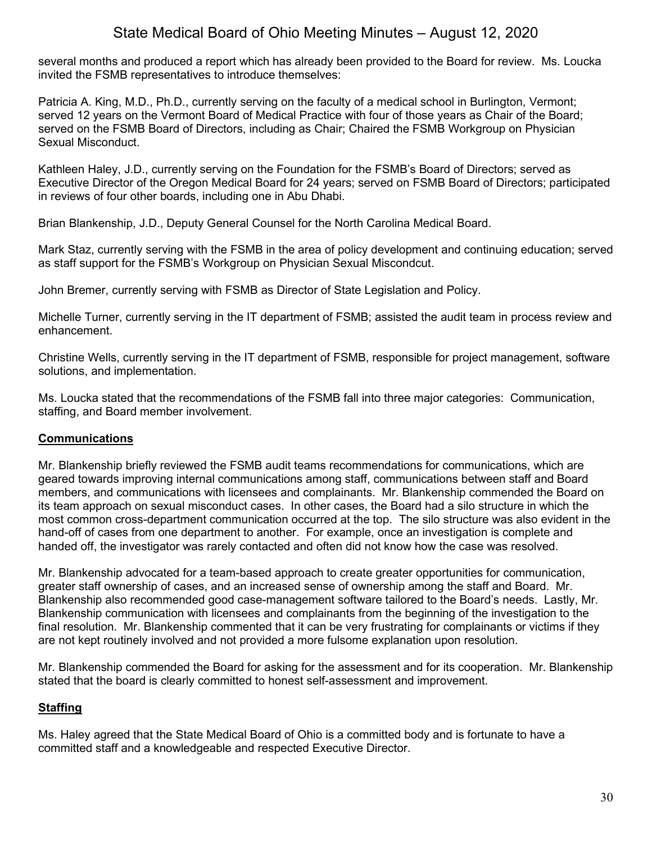several months and produced a report which has already been provided to the Board for review. Ms. Loucka invited the FSMB representatives to introduce themselves:

Patricia A. King, M.D., Ph.D., currently serving on the faculty of a medical school in Burlington, Vermont; served 12 years on the Vermont Board of Medical Practice with four of those years as Chair of the Board; served on the FSMB Board of Directors, including as Chair; Chaired the FSMB Workgroup on Physician Sexual Misconduct.

Kathleen Haley, J.D., currently serving on the Foundation for the FSMB's Board of Directors; served as Executive Director of the Oregon Medical Board for 24 years; served on FSMB Board of Directors; participated in reviews of four other boards, including one in Abu Dhabi.

Brian Blankenship, J.D., Deputy General Counsel for the North Carolina Medical Board.

Mark Staz, currently serving with the FSMB in the area of policy development and continuing education; served as staff support for the FSMB's Workgroup on Physician Sexual Miscondcut.

John Bremer, currently serving with FSMB as Director of State Legislation and Policy.

Michelle Turner, currently serving in the IT department of FSMB; assisted the audit team in process review and enhancement.

Christine Wells, currently serving in the IT department of FSMB, responsible for project management, software solutions, and implementation.

Ms. Loucka stated that the recommendations of the FSMB fall into three major categories: Communication, staffing, and Board member involvement.

### **Communications**

Mr. Blankenship briefly reviewed the FSMB audit teams recommendations for communications, which are geared towards improving internal communications among staff, communications between staff and Board members, and communications with licensees and complainants. Mr. Blankenship commended the Board on its team approach on sexual misconduct cases. In other cases, the Board had a silo structure in which the most common cross-department communication occurred at the top. The silo structure was also evident in the hand-off of cases from one department to another. For example, once an investigation is complete and handed off, the investigator was rarely contacted and often did not know how the case was resolved.

Mr. Blankenship advocated for a team-based approach to create greater opportunities for communication, greater staff ownership of cases, and an increased sense of ownership among the staff and Board. Mr. Blankenship also recommended good case-management software tailored to the Board's needs. Lastly, Mr. Blankenship communication with licensees and complainants from the beginning of the investigation to the final resolution. Mr. Blankenship commented that it can be very frustrating for complainants or victims if they are not kept routinely involved and not provided a more fulsome explanation upon resolution.

Mr. Blankenship commended the Board for asking for the assessment and for its cooperation. Mr. Blankenship stated that the board is clearly committed to honest self-assessment and improvement.

## **Staffing**

Ms. Haley agreed that the State Medical Board of Ohio is a committed body and is fortunate to have a committed staff and a knowledgeable and respected Executive Director.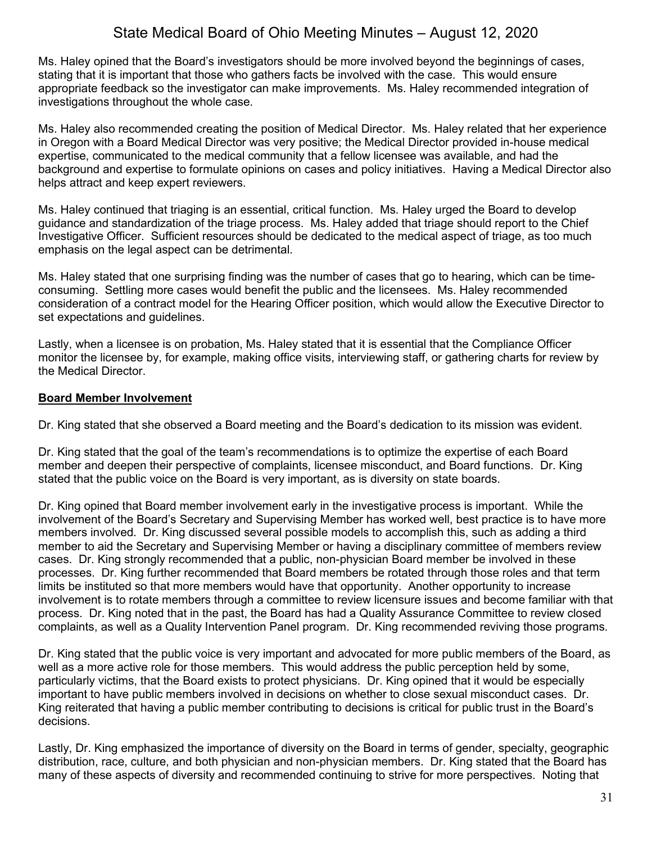Ms. Haley opined that the Board's investigators should be more involved beyond the beginnings of cases, stating that it is important that those who gathers facts be involved with the case. This would ensure appropriate feedback so the investigator can make improvements. Ms. Haley recommended integration of investigations throughout the whole case.

Ms. Haley also recommended creating the position of Medical Director. Ms. Haley related that her experience in Oregon with a Board Medical Director was very positive; the Medical Director provided in-house medical expertise, communicated to the medical community that a fellow licensee was available, and had the background and expertise to formulate opinions on cases and policy initiatives. Having a Medical Director also helps attract and keep expert reviewers.

Ms. Haley continued that triaging is an essential, critical function. Ms. Haley urged the Board to develop guidance and standardization of the triage process. Ms. Haley added that triage should report to the Chief Investigative Officer. Sufficient resources should be dedicated to the medical aspect of triage, as too much emphasis on the legal aspect can be detrimental.

Ms. Haley stated that one surprising finding was the number of cases that go to hearing, which can be timeconsuming. Settling more cases would benefit the public and the licensees. Ms. Haley recommended consideration of a contract model for the Hearing Officer position, which would allow the Executive Director to set expectations and guidelines.

Lastly, when a licensee is on probation, Ms. Haley stated that it is essential that the Compliance Officer monitor the licensee by, for example, making office visits, interviewing staff, or gathering charts for review by the Medical Director.

### **Board Member Involvement**

Dr. King stated that she observed a Board meeting and the Board's dedication to its mission was evident.

Dr. King stated that the goal of the team's recommendations is to optimize the expertise of each Board member and deepen their perspective of complaints, licensee misconduct, and Board functions. Dr. King stated that the public voice on the Board is very important, as is diversity on state boards.

Dr. King opined that Board member involvement early in the investigative process is important. While the involvement of the Board's Secretary and Supervising Member has worked well, best practice is to have more members involved. Dr. King discussed several possible models to accomplish this, such as adding a third member to aid the Secretary and Supervising Member or having a disciplinary committee of members review cases. Dr. King strongly recommended that a public, non-physician Board member be involved in these processes. Dr. King further recommended that Board members be rotated through those roles and that term limits be instituted so that more members would have that opportunity. Another opportunity to increase involvement is to rotate members through a committee to review licensure issues and become familiar with that process. Dr. King noted that in the past, the Board has had a Quality Assurance Committee to review closed complaints, as well as a Quality Intervention Panel program. Dr. King recommended reviving those programs.

Dr. King stated that the public voice is very important and advocated for more public members of the Board, as well as a more active role for those members. This would address the public perception held by some, particularly victims, that the Board exists to protect physicians. Dr. King opined that it would be especially important to have public members involved in decisions on whether to close sexual misconduct cases. Dr. King reiterated that having a public member contributing to decisions is critical for public trust in the Board's decisions.

Lastly, Dr. King emphasized the importance of diversity on the Board in terms of gender, specialty, geographic distribution, race, culture, and both physician and non-physician members. Dr. King stated that the Board has many of these aspects of diversity and recommended continuing to strive for more perspectives. Noting that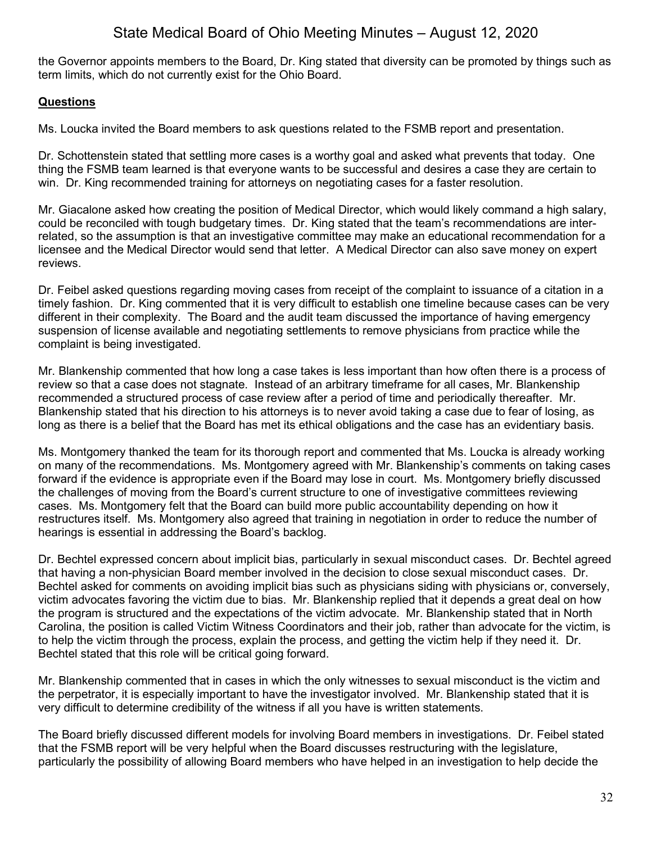the Governor appoints members to the Board, Dr. King stated that diversity can be promoted by things such as term limits, which do not currently exist for the Ohio Board.

### **Questions**

Ms. Loucka invited the Board members to ask questions related to the FSMB report and presentation.

Dr. Schottenstein stated that settling more cases is a worthy goal and asked what prevents that today. One thing the FSMB team learned is that everyone wants to be successful and desires a case they are certain to win. Dr. King recommended training for attorneys on negotiating cases for a faster resolution.

Mr. Giacalone asked how creating the position of Medical Director, which would likely command a high salary, could be reconciled with tough budgetary times. Dr. King stated that the team's recommendations are interrelated, so the assumption is that an investigative committee may make an educational recommendation for a licensee and the Medical Director would send that letter. A Medical Director can also save money on expert reviews.

Dr. Feibel asked questions regarding moving cases from receipt of the complaint to issuance of a citation in a timely fashion. Dr. King commented that it is very difficult to establish one timeline because cases can be very different in their complexity. The Board and the audit team discussed the importance of having emergency suspension of license available and negotiating settlements to remove physicians from practice while the complaint is being investigated.

Mr. Blankenship commented that how long a case takes is less important than how often there is a process of review so that a case does not stagnate. Instead of an arbitrary timeframe for all cases, Mr. Blankenship recommended a structured process of case review after a period of time and periodically thereafter. Mr. Blankenship stated that his direction to his attorneys is to never avoid taking a case due to fear of losing, as long as there is a belief that the Board has met its ethical obligations and the case has an evidentiary basis.

Ms. Montgomery thanked the team for its thorough report and commented that Ms. Loucka is already working on many of the recommendations. Ms. Montgomery agreed with Mr. Blankenship's comments on taking cases forward if the evidence is appropriate even if the Board may lose in court. Ms. Montgomery briefly discussed the challenges of moving from the Board's current structure to one of investigative committees reviewing cases. Ms. Montgomery felt that the Board can build more public accountability depending on how it restructures itself. Ms. Montgomery also agreed that training in negotiation in order to reduce the number of hearings is essential in addressing the Board's backlog.

Dr. Bechtel expressed concern about implicit bias, particularly in sexual misconduct cases. Dr. Bechtel agreed that having a non-physician Board member involved in the decision to close sexual misconduct cases. Dr. Bechtel asked for comments on avoiding implicit bias such as physicians siding with physicians or, conversely, victim advocates favoring the victim due to bias. Mr. Blankenship replied that it depends a great deal on how the program is structured and the expectations of the victim advocate. Mr. Blankenship stated that in North Carolina, the position is called Victim Witness Coordinators and their job, rather than advocate for the victim, is to help the victim through the process, explain the process, and getting the victim help if they need it. Dr. Bechtel stated that this role will be critical going forward.

Mr. Blankenship commented that in cases in which the only witnesses to sexual misconduct is the victim and the perpetrator, it is especially important to have the investigator involved. Mr. Blankenship stated that it is very difficult to determine credibility of the witness if all you have is written statements.

The Board briefly discussed different models for involving Board members in investigations. Dr. Feibel stated that the FSMB report will be very helpful when the Board discusses restructuring with the legislature, particularly the possibility of allowing Board members who have helped in an investigation to help decide the